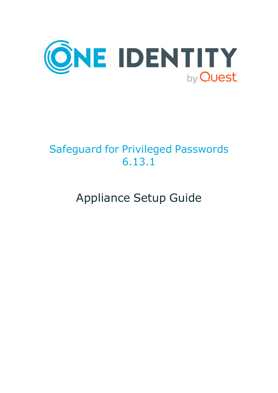

# Safeguard for Privileged Passwords 6.13.1

# Appliance Setup Guide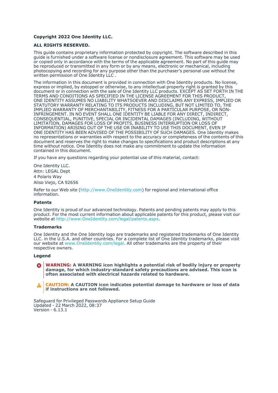#### **Copyright 2022 One Identity LLC.**

#### **ALL RIGHTS RESERVED.**

This guide contains proprietary information protected by copyright. The software described in this guide is furnished under a software license or nondisclosure agreement. This software may be used or copied only in accordance with the terms of the applicable agreement. No part of this guide may be reproduced or transmitted in any form or by any means, electronic or mechanical, including photocopying and recording for any purpose other than the purchaser's personal use without the written permission of One Identity LLC .

The information in this document is provided in connection with One Identity products. No license, express or implied, by estoppel or otherwise, to any intellectual property right is granted by this document or in connection with the sale of One Identity LLC products. EXCEPT AS SET FORTH IN THE TERMS AND CONDITIONS AS SPECIFIED IN THE LICENSE AGREEMENT FOR THIS PRODUCT, ONE IDENTITY ASSUMES NO LIABILITY WHATSOEVER AND DISCLAIMS ANY EXPRESS, IMPLIED OR STATUTORY WARRANTY RELATING TO ITS PRODUCTS INCLUDING, BUT NOT LIMITED TO, THE IMPLIED WARRANTY OF MERCHANTABILITY, FITNESS FOR A PARTICULAR PURPOSE, OR NON-INFRINGEMENT. IN NO EVENT SHALL ONE IDENTITY BE LIABLE FOR ANY DIRECT, INDIRECT, CONSEQUENTIAL, PUNITIVE, SPECIAL OR INCIDENTAL DAMAGES (INCLUDING, WITHOUT LIMITATION, DAMAGES FOR LOSS OF PROFITS, BUSINESS INTERRUPTION OR LOSS OF INFORMATION) ARISING OUT OF THE USE OR INABILITY TO USE THIS DOCUMENT, EVEN IF ONE IDENTITY HAS BEEN ADVISED OF THE POSSIBILITY OF SUCH DAMAGES. One Identity makes no representations or warranties with respect to the accuracy or completeness of the contents of this document and reserves the right to make changes to specifications and product descriptions at any time without notice. One Identity does not make any commitment to update the information contained in this document.

If you have any questions regarding your potential use of this material, contact:

One Identity LLC. Attn: LEGAL Dept 4 Polaris Way Aliso Viejo, CA 92656

Refer to our Web site [\(http://www.OneIdentity.com](http://www.oneidentity.com/)) for regional and international office information.

#### **Patents**

One Identity is proud of our advanced technology. Patents and pending patents may apply to this product. For the most current information about applicable patents for this product, please visit our website at [http://www.OneIdentity.com/legal/patents.aspx.](http://www.oneidentity.com/legal/patents.aspx)

#### **Trademarks**

One Identity and the One Identity logo are trademarks and registered trademarks of One Identity LLC. in the U.S.A. and other countries. For a complete list of One Identity trademarks, please visit our website at [www.OneIdentity.com/legal](http://www.oneidentity.com/legal). All other trademarks are the property of their respective owners.

#### **Legend**

**WARNING: A WARNING icon highlights a potential risk of bodily injury or property** œ **damage, for which industry-standard safety precautions are advised. This icon is often associated with electrical hazards related to hardware.**

**CAUTION: A CAUTION icon indicates potential damage to hardware or loss of data if instructions are not followed.**

Safeguard for Privileged Passwords Appliance Setup Guide Updated - 22 March 2022, 08:37 Version - 6.13.1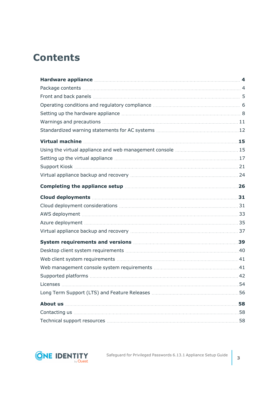## **Contents**

| Hardware appliance manufactured and the contract of the contract of the contract of the contract of the contract of the contract of the contract of the contract of the contract of the contract of the contract of the contra       |    |
|--------------------------------------------------------------------------------------------------------------------------------------------------------------------------------------------------------------------------------------|----|
|                                                                                                                                                                                                                                      |    |
|                                                                                                                                                                                                                                      |    |
|                                                                                                                                                                                                                                      |    |
|                                                                                                                                                                                                                                      |    |
|                                                                                                                                                                                                                                      |    |
|                                                                                                                                                                                                                                      |    |
|                                                                                                                                                                                                                                      |    |
|                                                                                                                                                                                                                                      |    |
| Setting up the virtual appliance manufactured and the setting up the virtual appliance manufactured and the set                                                                                                                      |    |
|                                                                                                                                                                                                                                      |    |
|                                                                                                                                                                                                                                      |    |
| Completing the appliance setup <b>[20]</b> [20] <b>Completing the appliance setup Exercise 20</b> [20] <b>Parameters</b>                                                                                                             |    |
|                                                                                                                                                                                                                                      |    |
|                                                                                                                                                                                                                                      |    |
|                                                                                                                                                                                                                                      |    |
|                                                                                                                                                                                                                                      |    |
|                                                                                                                                                                                                                                      |    |
|                                                                                                                                                                                                                                      |    |
|                                                                                                                                                                                                                                      |    |
|                                                                                                                                                                                                                                      |    |
|                                                                                                                                                                                                                                      |    |
|                                                                                                                                                                                                                                      |    |
| Licenses                                                                                                                                                                                                                             | 54 |
|                                                                                                                                                                                                                                      |    |
| About us <b>contract the contract of the contract of the contract of the contract of the contract of the contract of the contract of the contract of the contract of the contract of the contract of the contract of the contrac</b> | 58 |
| Exercise of the state of the state of the state of the state of the state of the state of the state of the state of the state of the state of the state of the state of the state of the state of the state of the state of th       |    |
|                                                                                                                                                                                                                                      |    |

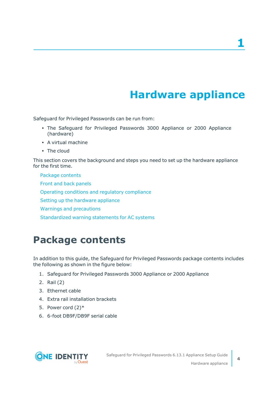**1**

# **Hardware appliance**

<span id="page-3-0"></span>Safeguard for Privileged Passwords can be run from:

- The Safeguard for Privileged Passwords 3000 Appliance or 2000 Appliance (hardware)
- A virtual machine
- $\cdot$  The cloud

This section covers the background and steps you need to set up the hardware appliance for the first time.

Package [contents](#page-3-1) Front and back [panels](#page-4-0) Operating conditions and regulatory [compliance](#page-5-0) Setting up the hardware [appliance](#page-7-0) Warnings and [precautions](#page-10-0) [Standardized](#page-11-0) warning statements for AC systems

## <span id="page-3-1"></span>**Package contents**

In addition to this guide, the Safeguard for Privileged Passwords package contents includes the following as shown in the figure below:

- 1. Safeguard for Privileged Passwords 3000 Appliance or 2000 Appliance
- 2. Rail (2)
- 3. Ethernet cable
- 4. Extra rail installation brackets
- 5. Power cord (2)\*
- 6. 6-foot DB9F/DB9F serial cable

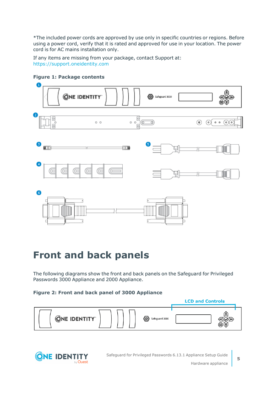\*The included power cords are approved by use only in specific countries or regions. Before using a power cord, verify that it is rated and approved for use in your location. The power cord is for AC mains installation only.

If any items are missing from your package, contact Support at: [https://support.oneidentity.com](https://support.oneidentity.com/)





## <span id="page-4-0"></span>**Front and back panels**

The following diagrams show the front and back panels on the Safeguard for Privileged Passwords 3000 Appliance and 2000 Appliance.

#### **Figure 2: Front and back panel of 3000 Appliance**



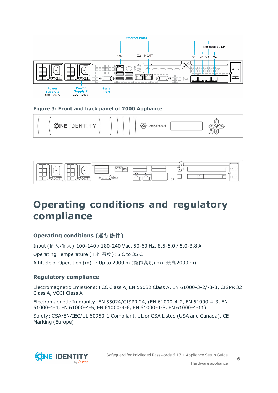

#### **Figure 3: Front and back panel of 2000 Appliance**





## <span id="page-5-0"></span>**Operating conditions and regulatory compliance**

### **Operating conditions (**運行條件**)**

Input (輸入/输入):100-140 / 180-240 Vac, 50-60 Hz, 8.5-6.0 / 5.0-3.8 A Operating Temperature (工作溫度): 5 C to 35 C Altitude of Operation (m)…: Up to 2000 m (操作高度(m):最高2000 m)

#### **Regulatory compliance**

Electromagnetic Emissions: FCC Class A, EN 55032 Class A, EN 61000-3-2/-3-3, CISPR 32 Class A, VCCI Class A

Electromagnetic Immunity: EN 55024/CISPR 24, (EN 61000-4-2, EN 61000-4-3, EN 61000-4-4, EN 61000-4-5, EN 61000-4-6, EN 61000-4-8, EN 61000-4-11)

Safety: CSA/EN/IEC/UL 60950-1 Compliant, UL or CSA Listed (USA and Canada), CE Marking (Europe)

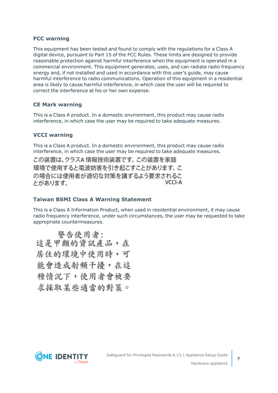#### **FCC warning**

This equipment has been tested and found to comply with the regulations for a Class A digital device, pursuant to Part 15 of the FCC Rules. These limits are designed to provide reasonable protection against harmful interference when the equipment is operated in a commercial environment. This equipment generates, uses, and can radiate radio frequency energy and, if not installed and used in accordance with this user's guide, may cause harmful interference to radio communications. Operation of this equipment in a residential area is likely to cause harmful interference, in which case the user will be required to correct the interference at his or her own expense.

#### **CE Mark warning**

This is a Class A product. In a domestic environment, this product may cause radio interference, in which case the user may be required to take adequate measures.

#### **VCCI warning**

This is a Class A product. In a domestic environment, this product may cause radio interference, in which case the user may be required to take adequate measures.

この装置は、クラスA 情報技術装置です。この装置を家庭 環境で使用すると電波妨害を引き起こすことがあります。こ の場合には使用者が適切な対策を講ずるよう要求されるこ VCCI-A とがあります。

#### **Taiwan BSMI Class A Warning Statement**

This is a Class A Information Product, when used in residential environment, it may cause radio frequency interference, under such circumstances, the user may be requested to take appropriate countermeasures.

警告使用者: 這是甲類的資訊產品,在 居住的環境中使用時,可 能會造成射頻干擾,在這 種情況下,使用者會被要 求採取某些適當的對策。

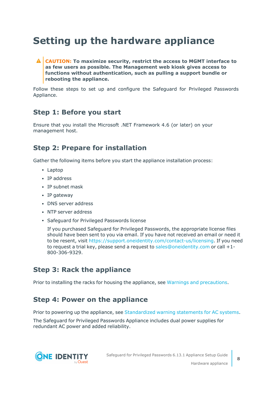## <span id="page-7-0"></span>**Setting up the hardware appliance**

#### **CAUTION: To maximize security, restrict the access to MGMT interface to as few users as possible. The Management web kiosk gives access to functions without authentication, such as pulling a support bundle or rebooting the appliance.**

Follow these steps to set up and configure the Safeguard for Privileged Passwords Appliance.

### **Step 1: Before you start**

Ensure that you install the Microsoft .NET Framework 4.6 (or later) on your management host.

### **Step 2: Prepare for installation**

Gather the following items before you start the appliance installation process:

- Laptop
- IP address
- IP subnet mask
- $\cdot$  IP gateway
- DNS server address
- NTP server address
- Safeguard for Privileged Passwords license

If you purchased Safeguard for Privileged Passwords, the appropriate license files should have been sent to you via email. If you have not received an email or need it to be resent, visit [https://support.oneidentity.com/contact-us/licensing.](https://support.oneidentity.com/contact-us/licensing) If you need to request a trial key, please send a request to [sales@oneidentity.com](mailto:sales@oneidentity.com) or call +1-800-306-9329.

### **Step 3: Rack the appliance**

Prior to installing the racks for housing the appliance, see Warnings and [precautions.](#page-10-0)

### **Step 4: Power on the appliance**

Prior to powering up the appliance, see [Standardized](#page-11-0) warning statements for AC systems.

The Safeguard for Privileged Passwords Appliance includes dual power supplies for redundant AC power and added reliability.

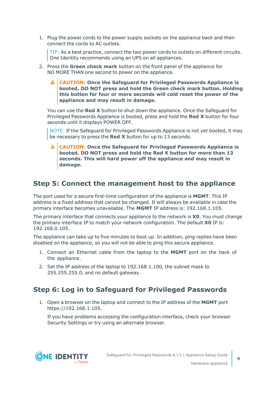1. Plug the power cords to the power supply sockets on the appliance back and then connect the cords to AC outlets.

TIP: As a best practice, connect the two power cords to outlets on different circuits. One Identity recommends using an UPS on all appliances.

- 2. Press the **Green check mark** button on the front panel of the appliance for NO MORE THAN one second to power on the appliance.
	- **CAUTION: Once the Safeguard for Privileged Passwords Appliance is booted, DO NOT press and hold the Green check mark button. Holding this button for four or more seconds will cold reset the power of the appliance and may result in damage.**

You can use the **Red X** button to shut down the appliance. Once the Safeguard for Privileged Passwords Appliance is booted, press and hold the **Red X** button for four seconds until it displays POWER OFF.

NOTE: If the Safeguard for Privileged Passwords Appliance is not yet booted, it may be necessary to press the **Red X** button for up to 13 seconds.

**CAUTION: Once the Safeguard for Privileged Passwords Appliance is booted, DO NOT press and hold the Red X button for more than 13 seconds. This will hard power off the appliance and may result in damage.**

### **Step 5: Connect the management host to the appliance**

The port used for a secure first-time configuration of the appliance is **MGMT**. This IP address is a fixed address that cannot be changed. It will always be available in case the primary interface becomes unavailable. The **MGMT** IP address is: 192.168.1.105.

The primary interface that connects your appliance to the network is **X0**. You must change the primary interface IP to match your network configuration. The default **X0** IP is: 192.168.0.105.

The appliance can take up to five minutes to boot up. In addition, ping replies have been disabled on the appliance, so you will not be able to ping this secure appliance.

- 1. Connect an Ethernet cable from the laptop to the **MGMT** port on the back of the appliance.
- 2. Set the IP address of the laptop to 192.168.1.100, the subnet mask to 255.255.255.0, and no default gateway.

### **Step 6: Log in to Safeguard for Privileged Passwords**

1. Open a browser on the laptop and connect to the IP address of the **MGMT** port https://192.168.1.105.

If you have problems accessing the configuration interface, check your browser Security Settings or try using an alternate browser.

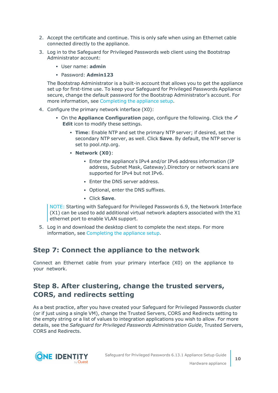- 2. Accept the certificate and continue. This is only safe when using an Ethernet cable connected directly to the appliance.
- 3. Log in to the Safeguard for Privileged Passwords web client using the Bootstrap Administrator account:
	- <sup>l</sup> User name: **admin**
	- <sup>l</sup> Password: **Admin123**

The Bootstrap Administrator is a built-in account that allows you to get the appliance set up for first-time use. To keep your Safeguard for Privileged Passwords Appliance secure, change the default password for the Bootstrap Administrator's account. For more information, see [Completing](#page-25-0) the appliance setup.

- 4. Configure the primary network interface (X0):
	- **On the Appliance Configuration** page, configure the following. Click the  $\ell$ **Edit** icon to modify these settings.
		- **Time**: Enable NTP and set the primary NTP server; if desired, set the secondary NTP server, as well. Click **Save**. By default, the NTP server is set to pool.ntp.org.
		- <sup>l</sup> **Network (X0)**:
			- Enter the appliance's IPv4 and/or IPv6 address information (IP address, Subnet Mask, Gateway).Directory or network scans are supported for IPv4 but not IPv6.
			- Enter the DNS server address.
			- Optional, enter the DNS suffixes.
			- <sup>l</sup> Click **Save**.

NOTE: Starting with Safeguard for Privileged Passwords 6.9, the Network Interface (X1) can be used to add additional virtual network adapters associated with the X1 ethernet port to enable VLAN support.

5. Log in and download the desktop client to complete the next steps. For more information, see [Completing](#page-25-0) the appliance setup.

### **Step 7: Connect the appliance to the network**

Connect an Ethernet cable from your primary interface (X0) on the appliance to your network.

### **Step 8. After clustering, change the trusted servers, CORS, and redirects setting**

As a best practice, after you have created your Safeguard for Privileged Passwords cluster (or if just using a single VM), change the Trusted Servers, CORS and Redirects setting to the empty string or a list of values to integration applications you wish to allow. For more details, see the *Safeguard for Privileged Passwords Administration Guide*, Trusted Servers, CORS and Redirects.

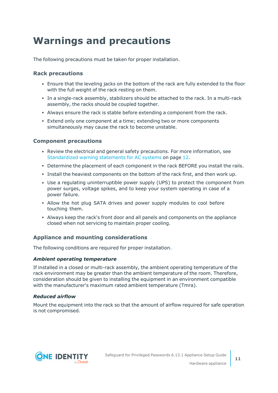## <span id="page-10-0"></span>**Warnings and precautions**

The following precautions must be taken for proper installation.

#### **Rack precautions**

- Ensure that the leveling jacks on the bottom of the rack are fully extended to the floor with the full weight of the rack resting on them.
- In a single-rack assembly, stabilizers should be attached to the rack. In a multi-rack assembly, the racks should be coupled together.
- Always ensure the rack is stable before extending a component from the rack.
- Extend only one component at a time; extending two or more components simultaneously may cause the rack to become unstable.

#### **Component precautions**

- <sup>l</sup> Review the electrical and general safety precautions. For more [information,](#page-11-0) see [Standardized](#page-11-0) warning statements for AC systems on page 12.
- Determine the placement of each component in the rack BEFORE you install the rails.
- Install the heaviest components on the bottom of the rack first, and then work up.
- Use a regulating uninterruptible power supply (UPS) to protect the component from power surges, voltage spikes, and to keep your system operating in case of a power failure.
- Allow the hot plug SATA drives and power supply modules to cool before touching them.
- Always keep the rack's front door and all panels and components on the appliance closed when not servicing to maintain proper cooling.

#### **Appliance and mounting considerations**

The following conditions are required for proper installation.

#### *Ambient operating temperature*

If installed in a closed or multi-rack assembly, the ambient operating temperature of the rack environment may be greater than the ambient temperature of the room. Therefore, consideration should be given to installing the equipment in an environment compatible with the manufacturer's maximum rated ambient temperature (Tmra).

#### *Reduced airflow*

Mount the equipment into the rack so that the amount of airflow required for safe operation is not compromised.

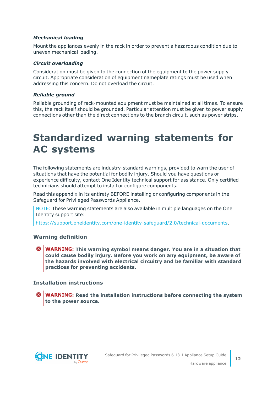#### *Mechanical loading*

Mount the appliances evenly in the rack in order to prevent a hazardous condition due to uneven mechanical loading.

#### *Circuit overloading*

Consideration must be given to the connection of the equipment to the power supply circuit. Appropriate consideration of equipment nameplate ratings must be used when addressing this concern. Do not overload the circuit.

#### *Reliable ground*

Reliable grounding of rack-mounted equipment must be maintained at all times. To ensure this, the rack itself should be grounded. Particular attention must be given to power supply connections other than the direct connections to the branch circuit, such as power strips.

## <span id="page-11-0"></span>**Standardized warning statements for AC systems**

The following statements are industry-standard warnings, provided to warn the user of situations that have the potential for bodily injury. Should you have questions or experience difficulty, contact One Identity technical support for assistance. Only certified technicians should attempt to install or configure components.

Read this appendix in its entirety BEFORE installing or configuring components in the Safeguard for Privileged Passwords Appliance.

NOTE: These warning statements are also available in multiple languages on the One Identity support site:

<https://support.oneidentity.com/one-identity-safeguard/2.0/technical-documents>.

#### **Warning definition**

**WARNING: This warning symbol means danger. You are in a situation that could cause bodily injury. Before you work on any equipment, be aware of the hazards involved with electrical circuitry and be familiar with standard practices for preventing accidents.**

#### **Installation instructions**

**WARNING: Read the installation instructions before connecting the system to the power source.**

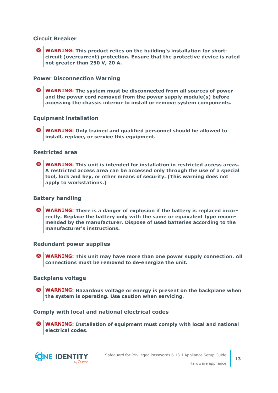#### **Circuit Breaker**

**WARNING: This product relies on the building's installation for shortcircuit (overcurrent) protection. Ensure that the protective device is rated not greater than 250 V, 20 A.**

#### **Power Disconnection Warning**

**WARNING: The system must be disconnected from all sources of power and the power cord removed from the power supply module(s) before accessing the chassis interior to install or remove system components.**

#### **Equipment installation**

**WARNING: Only trained and qualified personnel should be allowed to install, replace, or service this equipment.**

#### **Restricted area**

**WARNING: This unit is intended for installation in restricted access areas. A restricted access area can be accessed only through the use of a special tool, lock and key, or other means of security. (This warning does not apply to workstations.)**

#### **Battery handling**

**WARNING: There is a danger of explosion if the battery is replaced incorrectly. Replace the battery only with the same or equivalent type recommended by the manufacturer. Dispose of used batteries according to the manufacturer's instructions.**

#### **Redundant power supplies**

**WARNING: This unit may have more than one power supply connection. All connections must be removed to de-energize the unit.**

#### **Backplane voltage**

**WARNING: Hazardous voltage or energy is present on the backplane when the system is operating. Use caution when servicing.**

#### **Comply with local and national electrical codes**

**WARNING: Installation of equipment must comply with local and national electrical codes.**

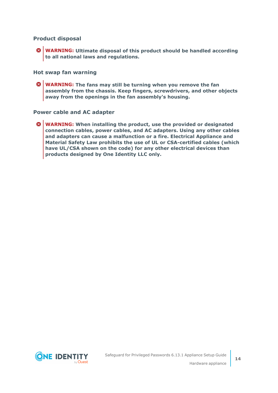#### **Product disposal**

**WARNING: Ultimate disposal of this product should be handled according to all national laws and regulations.**

#### **Hot swap fan warning**

**WARNING: The fans may still be turning when you remove the fan assembly from the chassis. Keep fingers, screwdrivers, and other objects away from the openings in the fan assembly's housing.**

#### **Power cable and AC adapter**

**WARNING: When installing the product, use the provided or designated connection cables, power cables, and AC adapters. Using any other cables and adapters can cause a malfunction or a fire. Electrical Appliance and Material Safety Law prohibits the use of UL or CSA-certified cables (which have UL/CSA shown on the code) for any other electrical devices than products designed by One Identity LLC only.**

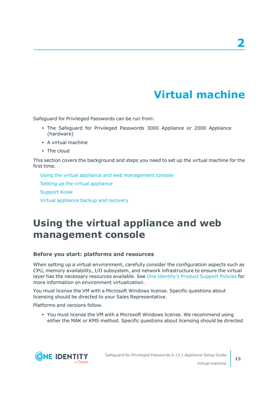# **Virtual machine**

<span id="page-14-0"></span>Safeguard for Privileged Passwords can be run from:

- The Safeguard for Privileged Passwords 3000 Appliance or 2000 Appliance (hardware)
- A virtual machine
- The cloud

This section covers the background and steps you need to set up the virtual machine for the first time.

Using the virtual appliance and web [management](#page-14-1) console

Setting up the virtual [appliance](#page-16-0)

[Support](#page-20-0) Kiosk

<span id="page-14-1"></span>Virtual [appliance](#page-23-0) backup and recovery

## **Using the virtual appliance and web management console**

#### **Before you start: platforms and resources**

When setting up a virtual environment, carefully consider the configuration aspects such as CPU, memory availability, I/O subsystem, and network infrastructure to ensure the virtual layer has the necessary resources available. See One [Identity's](https://support.oneidentity.com/essentials/support-guide#tab3) Product Support Policies for more information on environment virtualization.

You must license the VM with a Microsoft Windows license. Specific questions about licensing should be directed to your Sales Representative.

Platforms and versions follow.

• You must license the VM with a Microsoft Windows license. We recommend using either the MAK or KMS method. Specific questions about licensing should be directed

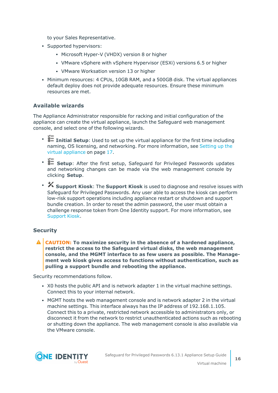to your Sales Representative.

- Supported hypervisors:
	- Microsoft Hyper-V (VHDX) version 8 or higher
	- VMware vSphere with vSphere Hypervisor (ESXi) versions 6.5 or higher
	- VMware Worksation version 13 or higher
- Minimum resources: 4 CPUs, 10GB RAM, and a 500GB disk. The virtual appliances default deploy does not provide adequate resources. Ensure these minimum resources are met.

#### **Available wizards**

The Appliance Administrator responsible for racking and initial configuration of the appliance can create the virtual appliance, launch the Safeguard web management console, and select one of the following wizards.

- $\cdot$   $\mathbf{H}$  **Initial Setup**: Used to set up the virtual appliance for the first time including naming, OS licensing, and networking. For more [information,](#page-16-0) see Setting up the virtual [appliance](#page-16-0) on page 17.
- $\frac{1}{2}$  **Setup**: After the first setup, Safeguard for Privileged Passwords updates and networking changes can be made via the web management console by clicking **Setup**.
- <sup>l</sup> **Support Kiosk**: The **Support Kiosk** is used to diagnose and resolve issues with Safeguard for Privileged Passwords. Any user able to access the kiosk can perform low-risk support operations including appliance restart or shutdown and support bundle creation. In order to reset the admin password, the user must obtain a challenge response token from One Identity support. For more information, see [Support](#page-20-0) Kiosk.

#### **Security**

**CAUTION: To maximize security in the absence of a hardened appliance, restrict the access to the Safeguard virtual disks, the web management console, and the MGMT interface to as few users as possible. The Management web kiosk gives access to functions without authentication, such as pulling a support bundle and rebooting the appliance.**

Security recommendations follow.

- X0 hosts the public API and is network adapter 1 in the virtual machine settings. Connect this to your internal network.
- MGMT hosts the web management console and is network adapter 2 in the virtual machine settings. This interface always has the IP address of 192.168.1.105. Connect this to a private, restricted network accessible to administrators only, or disconnect it from the network to restrict unauthenticated actions such as rebooting or shutting down the appliance. The web management console is also available via the VMware console.

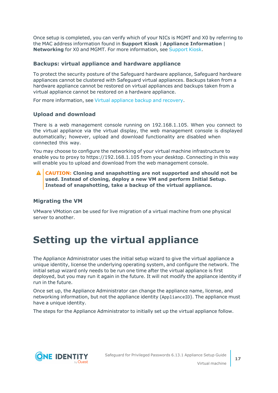Once setup is completed, you can verify which of your NICs is MGMT and X0 by referring to the MAC address information found in **Support Kiosk** | **Appliance Information** | **Networking** for X0 and MGMT. For more information, see [Support](#page-20-0) Kiosk.

#### **Backups: virtual appliance and hardware appliance**

To protect the security posture of the Safeguard hardware appliance, Safeguard hardware appliances cannot be clustered with Safeguard virtual appliances. Backups taken from a hardware appliance cannot be restored on virtual appliances and backups taken from a virtual appliance cannot be restored on a hardware appliance.

For more information, see Virtual [appliance](#page-36-0) backup and recovery.

#### **Upload and download**

There is a web management console running on 192.168.1.105. When you connect to the virtual appliance via the virtual display, the web management console is displayed automatically; however, upload and download functionality are disabled when connected this way.

You may choose to configure the networking of your virtual machine infrastructure to enable you to proxy to https://192.168.1.105 from your desktop. Connecting in this way will enable you to upload and download from the web management console.

#### **CAUTION: Cloning and snapshotting are not supported and should not be used. Instead of cloning, deploy a new VM and perform Initial Setup. Instead of snapshotting, take a backup of the virtual appliance.**

#### **Migrating the VM**

VMware VMotion can be used for live migration of a virtual machine from one physical server to another.

## <span id="page-16-0"></span>**Setting up the virtual appliance**

The Appliance Administrator uses the initial setup wizard to give the virtual appliance a unique identity, license the underlying operating system, and configure the network. The initial setup wizard only needs to be run one time after the virtual appliance is first deployed, but you may run it again in the future. It will not modify the appliance identity if run in the future.

Once set up, the Appliance Administrator can change the appliance name, license, and networking information, but not the appliance identity (ApplianceID). The appliance must have a unique identity.

The steps for the Appliance Administrator to initially set up the virtual appliance follow.

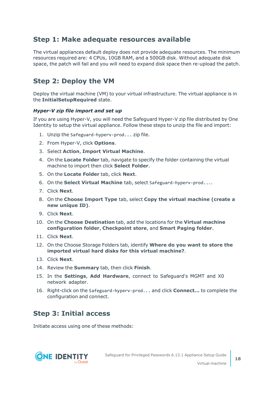### **Step 1: Make adequate resources available**

The virtual appliances default deploy does not provide adequate resources. The minimum resources required are: 4 CPUs, 10GB RAM, and a 500GB disk. Without adequate disk space, the patch will fail and you will need to expand disk space then re-upload the patch.

## **Step 2: Deploy the VM**

Deploy the virtual machine (VM) to your virtual infrastructure. The virtual appliance is in the **InitialSetupRequired** state.

#### *Hyper-V zip file import and set up*

If you are using Hyper-V, you will need the Safeguard Hyper-V zip file distributed by One Identity to setup the virtual appliance. Follow these steps to unzip the file and import:

- 1. Unzip the Safeguard-hyperv-prod... zip file.
- 2. From Hyper-V, click **Options**.
- 3. Select **Action**, **Import Virtual Machine**.
- 4. On the **Locate Folder** tab, navigate to specify the folder containing the virtual machine to import then click **Select Folder**.
- 5. On the **Locate Folder** tab, click **Next**.
- 6. On the **Select Virtual Machine** tab, select Safeguard-hyperv-prod....
- 7. Click **Next**.
- 8. On the **Choose Import Type** tab, select **Copy the virtual machine (create a new unique ID)**.
- 9. Click **Next**.
- 10. On the **Choose Destination** tab, add the locations for the **Virtual machine configuration folder**, **Checkpoint store**, and **Smart Paging folder**.
- 11. Click **Next**.
- 12. On the Choose Storage Folders tab, identify **Where do you want to store the imported virtual hard disks for this virtual machine?**.
- 13. Click **Next**.
- 14. Review the **Summary** tab, then click **Finish**.
- 15. In the **Settings**, **Add Hardware**, connect to Safeguard's MGMT and X0 network adapter.
- 16. Right-click on the Safeguard-hyperv-prod... and click **Connect...** to complete the configuration and connect.

### **Step 3: Initial access**

Initiate access using one of these methods:

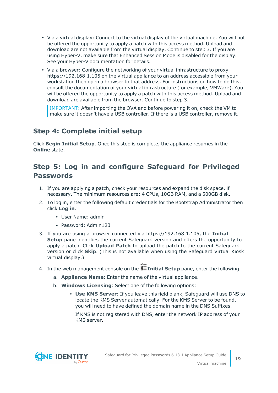- Via a virtual display: Connect to the virtual display of the virtual machine. You will not be offered the opportunity to apply a patch with this access method. Upload and download are not available from the virtual display. Continue to step 3. If you are using Hyper-V, make sure that Enhanced Session Mode is disabled for the display. See your Hyper-V documentation for details.
- Via a browser: Configure the networking of your virtual infrastructure to proxy https://192.168.1.105 on the virtual appliance to an address accessible from your workstation then open a browser to that address. For instructions on how to do this, consult the documentation of your virtual infrastructure (for example, VMWare). You will be offered the opportunity to apply a patch with this access method. Upload and download are available from the browser. Continue to step 3.

IMPORTANT: After importing the OVA and before powering it on, check the VM to make sure it doesn't have a USB controller. If there is a USB controller, remove it.

### **Step 4: Complete initial setup**

Click **Begin Initial Setup**. Once this step is complete, the appliance resumes in the **Online** state.

### **Step 5: Log in and configure Safeguard for Privileged Passwords**

- 1. If you are applying a patch, check your resources and expand the disk space, if necessary. The minimum resources are: 4 CPUs, 10GB RAM, and a 500GB disk.
- 2. To log in, enter the following default credentials for the Bootstrap Administrator then click **Log in**.
	- User Name: admin
	- Password: Admin123
- 3. If you are using a browser connected via https://192.168.1.105, the **Initial Setup** pane identifies the current Safeguard version and offers the opportunity to apply a patch. Click **Upload Patch** to upload the patch to the current Safeguard version or click **Skip**. (This is not available when using the Safeguard Virtual Kiosk virtual display.)
- 4. In the web management console on the  $\frac{1}{n}$ **Initial Setup** pane, enter the following.
	- a. **Appliance Name**: Enter the name of the virtual appliance.
	- b. **Windows Licensing**: Select one of the following options:
		- <sup>l</sup> **Use KMS Server**: If you leave this field blank, Safeguard will use DNS to locate the KMS Server automatically. For the KMS Server to be found, you will need to have defined the domain name in the DNS Suffixes.

If KMS is not registered with DNS, enter the network IP address of your KMS server.

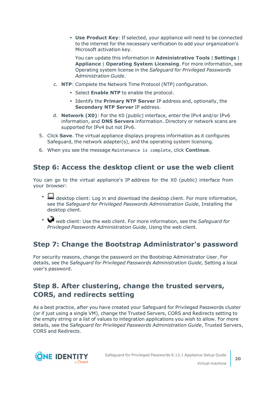<sup>l</sup> **Use Product Key**: If selected, your appliance will need to be connected to the internet for the necessary verification to add your organization's Microsoft activation key.

You can update this information in **Administrative Tools** | **Settings** | **Appliance** | **Operating System Licensing**. For more information, see Operating system license in the *Safeguard for Privileged Passwords Administration Guide*.

- c. **NTP**: Complete the Network Time Protocol (NTP) configuration.
	- **Select Enable NTP** to enable the protocol.
	- <sup>l</sup> Identify the **Primary NTP Server** IP address and, optionally, the **Secondary NTP Server** IP address.
- d. **Network (X0)**: For the X0 (public) interface, enter the IPv4 and/or IPv6 information, and **DNS Servers** information. Directory or network scans are supported for IPv4 but not IPv6.
- 5. Click **Save**. The virtual appliance displays progress information as it configures Safeguard, the network adapter(s), and the operating system licensing.
- 6. When you see the message Maintenance is complete, click **Continue**.

### **Step 6: Access the desktop client or use the web client**

You can go to the virtual appliance's IP address for the X0 (public) interface from your browser:

- $\cdot \Box$  desktop client: Log in and download the desktop client. For more [information,](../../../../../Content/SafeguardTopics/InstallDesktopClient.htm) see the *Safeguard for Privileged Passwords [Administration](../../../../../Content/SafeguardTopics/InstallDesktopClient.htm) Guide*, Installing the [desktop](../../../../../Content/SafeguardTopics/InstallDesktopClient.htm) client.
- $\cdot$  Web client: Use the web client. For more information, see the *Safeguard for Privileged Passwords Administration Guide*, Using the web client.

### **Step 7: Change the Bootstrap Administrator's password**

For security reasons, change the password on the Bootstrap Administrator User. For details, see the *Safeguard for Privileged Passwords Administration Guide*, Setting a local user's password.

### **Step 8. After clustering, change the trusted servers, CORS, and redirects setting**

As a best practice, after you have created your Safeguard for Privileged Passwords cluster (or if just using a single VM), change the Trusted Servers, CORS and Redirects setting to the empty string or a list of values to integration applications you wish to allow. For more details, see the *Safeguard for Privileged Passwords Administration Guide*, Trusted Servers, CORS and Redirects.

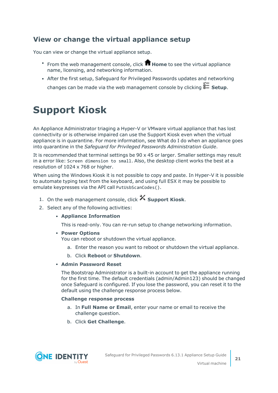## **View or change the virtual appliance setup**

You can view or change the virtual appliance setup.

- <sup>l</sup> From the web management console, click **Home** to see the virtual appliance name, licensing, and networking information.
- After the first setup, Safeguard for Privileged Passwords updates and networking changes can be made via the web management console by clicking  $\frac{d}{dr}$  **Setup**.

## <span id="page-20-0"></span>**Support Kiosk**

An Appliance Administrator triaging a Hyper-V or VMware virtual appliance that has lost connectivity or is otherwise impaired can use the Support Kiosk even when the virtual appliance is in quarantine. For more information, see What do I do when an appliance goes into quarantine in the *Safeguard for Privileged Passwords Administration Guide*.

It is recommended that terminal settings be 90 x 45 or larger. Smaller settings may result in a error like: Screen dimension to small. Also, the desktop client works the best at a resolution of 1024 x 768 or higher.

When using the Windows Kiosk it is not possible to copy and paste. In Hyper-V it is possible to automate typing text from the keyboard, and using full ESX it may be possible to emulate keypresses via the API call PutUsbScanCodes().

- 1. On the web management console, click **Support Kiosk**.
- 2. Select any of the following activities:
	- <sup>l</sup> **Appliance Information**

This is read-only. You can re-run setup to change networking information.

<sup>l</sup> **Power Options**

You can reboot or shutdown the virtual appliance.

- a. Enter the reason you want to reboot or shutdown the virtual appliance.
- b. Click **Reboot** or **Shutdown**.

#### <sup>l</sup> **Admin Password Reset**

The Bootstrap Administrator is a built-in account to get the appliance running for the first time. The default credentials (admin/Admin123) should be changed once Safeguard is configured. If you lose the password, you can reset it to the default using the challenge response process below.

#### **Challenge response process**

- a. In **Full Name or Email**, enter your name or email to receive the challenge question.
- b. Click **Get Challenge**.

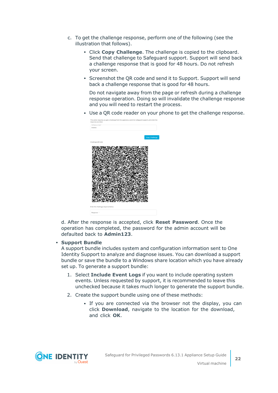- c. To get the challenge response, perform one of the following (see the illustration that follows).
	- **Click Copy Challenge.** The challenge is copied to the clipboard. Send that challenge to Safeguard support. Support will send back a challenge response that is good for 48 hours. Do not refresh your screen.
	- Screenshot the QR code and send it to Support. Support will send back a challenge response that is good for 48 hours.

Do not navigate away from the page or refresh during a challenge response operation. Doing so will invalidate the challenge response and you will need to restart the process.

• Use a QR code reader on your phone to get the challenge response.

| Full Name or Email *                |                       |
|-------------------------------------|-----------------------|
| Andrew                              |                       |
|                                     |                       |
|                                     |                       |
|                                     | <b>Copy Challenge</b> |
| Challenge QR Code                   |                       |
|                                     |                       |
|                                     |                       |
|                                     |                       |
|                                     |                       |
|                                     |                       |
|                                     |                       |
|                                     |                       |
|                                     |                       |
|                                     |                       |
|                                     |                       |
|                                     |                       |
|                                     |                       |
|                                     |                       |
|                                     |                       |
|                                     |                       |
|                                     |                       |
|                                     |                       |
|                                     |                       |
|                                     |                       |
|                                     |                       |
|                                     |                       |
| Enter the challenge response below. |                       |
|                                     |                       |

d. After the response is accepted, click **Reset Password**. Once the operation has completed, the password for the admin account will be defaulted back to **Admin123**.

#### <sup>l</sup> **Support Bundle**

A support bundle includes system and configuration information sent to One Identity Support to analyze and diagnose issues. You can download a support bundle or save the bundle to a Windows share location which you have already set up. To generate a support bundle:

- 1. Select **Include Event Logs** if you want to include operating system events. Unless requested by support, it is recommended to leave this unchecked because it takes much longer to generate the support bundle.
- 2. Create the support bundle using one of these methods:
	- If you are connected via the browser not the display, you can click **Download**, navigate to the location for the download, and click **OK**.

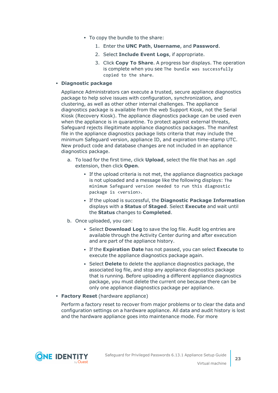- To copy the bundle to the share:
	- 1. Enter the **UNC Path**, **Username**, and **Password**.
	- 2. Select **Include Event Logs**, if appropriate.
	- 3. Click **Copy To Share**. A progress bar displays. The operation is complete when you see The bundle was successfully copied to the share.

#### <sup>l</sup> **Diagnostic package**

Appliance Administrators can execute a trusted, secure appliance diagnostics package to help solve issues with configuration, synchronization, and clustering, as well as other other internal challenges. The appliance diagnostics package is available from the web Support Kiosk, not the Serial Kiosk (Recovery Kiosk). The appliance diagnostics package can be used even when the appliance is in quarantine. To protect against external threats, Safeguard rejects illegitimate appliance diagnostics packages. The manifest file in the appliance diagnostics package lists criteria that may include the minimum Safeguard version, appliance ID, and expiration time-stamp UTC. New product code and database changes are not included in an appliance diagnostics package.

- a. To load for the first time, click **Upload**, select the file that has an .sgd extension, then click **Open**.
	- If the upload criteria is not met, the appliance diagnostics package is not uploaded and a message like the following displays: The minimum Safeguard version needed to run this diagnostic package is <version>.
	- <sup>l</sup> If the upload is successful, the **Diagnostic Package Information** displays with a **Status** of **Staged**. Select **Execute** and wait until the **Status** changes to **Completed**.
- b. Once uploaded, you can:
	- **.** Select **Download Log** to save the log file. Audit log entries are available through the Activity Center during and after execution and are part of the appliance history.
	- <sup>l</sup> If the **Expiration Date** has not passed, you can select **Execute** to execute the appliance diagnostics package again.
	- **.** Select **Delete** to delete the appliance diagnostics package, the associated log file, and stop any appliance diagnostics package that is running. Before uploading a different appliance diagnostics package, you must delete the current one because there can be only one appliance diagnostics package per appliance.
- <sup>l</sup> **Factory Reset** (hardware appliance)

Perform a factory reset to recover from major problems or to clear the data and configuration settings on a hardware appliance. All data and audit history is lost and the hardware appliance goes into maintenance mode. For more

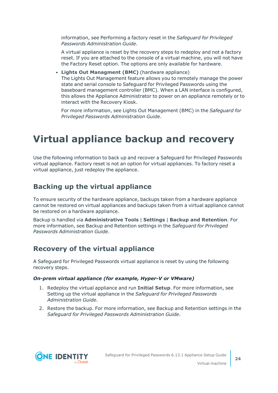information, see Performing a factory reset in the *Safeguard for Privileged Passwords Administration Guide*.

A virtual appliance is reset by the recovery steps to redeploy and not a factory reset. If you are attached to the console of a virtual machine, you will not have the Factory Reset option. The options are only available for hardware.

<sup>l</sup> **Lights Out Managment (BMC)** (hardware appliance) The Lights Out Management feature allows you to remotely manage the power state and serial console to Safeguard for Privileged Passwords using the baseboard management controller (BMC). When a LAN interface is configured, this allows the Appliance Administrator to power on an appliance remotely or to interact with the Recovery Kiosk.

For more information, see Lights Out Management (BMC) in the *Safeguard for Privileged Passwords Administration Guide*.

## <span id="page-23-0"></span>**Virtual appliance backup and recovery**

Use the following information to back up and recover a Safeguard for Privileged Passwords virtual appliance. Factory reset is not an option for virtual appliances. To factory reset a virtual appliance, just redeploy the appliance.

### **Backing up the virtual appliance**

To ensure security of the hardware appliance, backups taken from a hardware appliance cannot be restored on virtual appliances and backups taken from a virtual appliance cannot be restored on a hardware appliance.

Backup is handled via **Administrative Tools** | **Settings** | **Backup and Retention**. For more information, see Backup and Retention settings in the *Safeguard for Privileged Passwords Administration Guide*.

### **Recovery of the virtual appliance**

A Safeguard for Privileged Passwords virtual appliance is reset by using the following recovery steps.

#### *On-prem virtual appliance (for example, Hyper-V or VMware)*

- 1. Redeploy the virtual appliance and run **Initial Setup**. For more information, see Setting up the virtual appliance in the *Safeguard for Privileged Passwords Administration Guide*.
- 2. Restore the backup. For more information, see Backup and Retention settings in the *Safeguard for Privileged Passwords Administration Guide*.

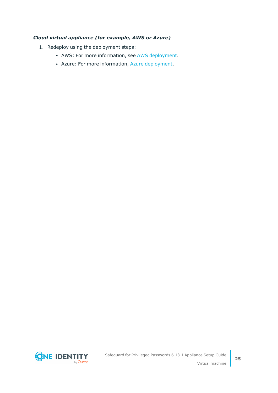#### *Cloud virtual appliance (for example, AWS or Azure)*

- 1. Redeploy using the deployment steps:
	- AWS: For more information, see AWS [deployment](#page-32-0).
	- Azure: For more information, Azure [deployment](#page-34-0).

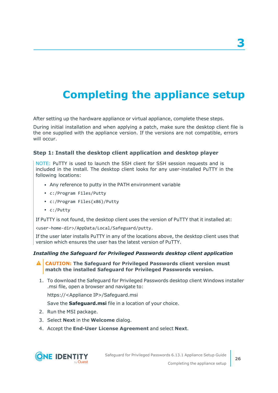# <span id="page-25-0"></span>**Completing the appliance setup**

After setting up the hardware appliance or virtual appliance, complete these steps.

During initial installation and when applying a patch, make sure the desktop client file is the one supplied with the appliance version. If the versions are not compatible, errors will occur.

#### **Step 1: Install the desktop client application and desktop player**

NOTE: PuTTY is used to launch the SSH client for SSH session requests and is included in the install. The desktop client looks for any user-installed PuTTY in the following locations:

- Any reference to putty in the PATH environment variable
- c:/Program Files/Putty
- c:/Program Files(x86)/Putty
- c:/Putty

If PuTTY is not found, the desktop client uses the version of PuTTY that it installed at:

<user-home-dir>/AppData/Local/Safeguard/putty.

If the user later installs PuTTY in any of the locations above, the desktop client uses that version which ensures the user has the latest version of PuTTY.

#### *Installing the Safeguard for Privileged Passwords desktop client application*

**CAUTION: The Safeguard for Privileged Passwords client version must match the installed Safeguard for Privileged Passwords version.**

1. To download the Safeguard for Privileged Passwords desktop client Windows installer .msi file, open a browser and navigate to:

https://<Appliance IP>/Safeguard.msi

Save the **Safeguard.msi** file in a location of your choice.

- 2. Run the MSI package.
- 3. Select **Next** in the **Welcome** dialog.
- 4. Accept the **End-User License Agreement** and select **Next**.

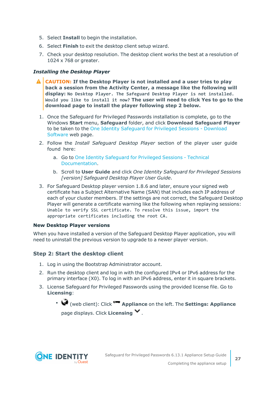- 5. Select **Install** to begin the installation.
- 6. Select **Finish** to exit the desktop client setup wizard.
- 7. Check your desktop resolution. The desktop client works the best at a resolution of 1024 x 768 or greater.

#### *Installing the Desktop Player*

- **CAUTION: If the Desktop Player is not installed and a user tries to play back a session from the Activity Center, a message like the following will display: No Desktop Player. The Safeguard Desktop Player is not installed. Would you like to install it now? The user will need to click Yes to go to the download page to install the player following step 2 below.**
- 1. Once the Safeguard for Privileged Passwords installation is complete, go to the Windows **Start** menu, **Safeguard** folder, and click **Download Safeguard Player** to be taken to the One Identity [Safeguard](https://support.oneidentity.com/one-identity-safeguard-for-privileged-sessions/download-new-releases) for Privileged Sessions - Download [Software](https://support.oneidentity.com/one-identity-safeguard-for-privileged-sessions/download-new-releases) web page.
- 2. Follow the *Install Safeguard Desktop Player* section of the player user guide found here:
	- a. Go to One Identity [Safeguard](https://support.oneidentity.com/one-identity-safeguard-for-privileged-sessions/technical-documents) for Privileged Sessions Technical [Documentation.](https://support.oneidentity.com/one-identity-safeguard-for-privileged-sessions/technical-documents)
	- b. Scroll to **User Guide** and click *One Identity Safeguard for Privileged Sessions [version] Safeguard Desktop Player User Guide*.
- 3. For Safeguard Desktop player version 1.8.6 and later, ensure your signed web certificate has a Subject Alternative Name (SAN) that includes each IP address of each of your cluster members. If the settings are not correct, the Safeguard Desktop Player will generate a certificate warning like the following when replaying sessions: Unable to verify SSL certificate. To resolve this issue, import the appropriate certificates including the root CA.

#### **New Desktop Player versions**

When you have installed a version of the Safeguard Desktop Player application, you will need to uninstall the previous version to upgrade to a newer player version.

#### **Step 2: Start the desktop client**

- 1. Log in using the Bootstrap Administrator account.
- 2. Run the desktop client and log in with the configured IPv4 or IPv6 address for the primary interface (X0). To log in with an IPv6 address, enter it in square brackets.
- 3. License Safeguard for Privileged Passwords using the provided license file. Go to **Licensing**:
	- **W** (web client): Click **Appliance** on the left. The **Settings: Appliance** page displays. Click **Licensing** .

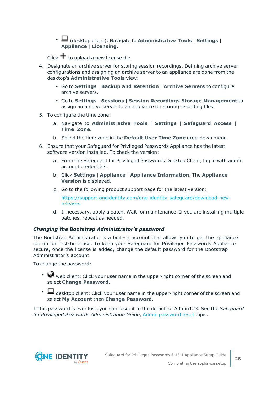l (desktop client): Navigate to **Administrative Tools** | **Settings** | **Appliance** | **Licensing**.

Click  $\pm$  to upload a new license file.

- 4. Designate an archive server for storing session recordings. Defining archive server configurations and assigning an archive server to an appliance are done from the desktop's **Administrative Tools** view:
	- <sup>l</sup> Go to **Settings** | **Backup and Retention** | **Archive Servers** to configure archive servers.
	- <sup>l</sup> Go to **Settings** | **Sessions** | **Session Recordings Storage Management** to assign an archive server to an appliance for storing recording files.
- 5. To configure the time zone:
	- a. Navigate to **Administrative Tools** | **Settings** | **Safeguard Access** | **Time Zone**.
	- b. Select the time zone in the **Default User Time Zone** drop-down menu.
- 6. Ensure that your Safeguard for Privileged Passwords Appliance has the latest software version installed. To check the version:
	- a. From the Safeguard for Privileged Passwords Desktop Client, log in with admin account credentials.
	- b. Click **Settings** | **Appliance** | **Appliance Information**. The **Appliance Version** is displayed.
	- c. Go to the following product support page for the latest version:

[https://support.oneidentity.com/one-identity-safeguard/download-new](https://support.oneidentity.com/one-identity-safeguard/download-new-releases)[releases](https://support.oneidentity.com/one-identity-safeguard/download-new-releases)

d. If necessary, apply a patch. Wait for maintenance. If you are installing multiple patches, repeat as needed.

#### *Changing the Bootstrap Administrator's password*

The Bootstrap Administrator is a built-in account that allows you to get the appliance set up for first-time use. To keep your Safeguard for Privileged Passwords Appliance secure, once the license is added, change the default password for the Bootstrap Administrator's account.

To change the password:

- $\cdot$   $\blacksquare$  web client: Click your user name in the upper-right corner of the screen and select **Change Password**.
- $\cdot \square$  desktop client: Click your user name in the upper-right corner of the screen and select **My Account** then **Change Password**.

If this password is ever lost, you can reset it to the default of Admin123. See the *Safeguard for Privileged Passwords Administration Guide*, Admin [password](https://support.oneidentity.com/technical-documents/one-identity-safeguard-for-privileged-passwords/administration-guide/119#TOPIC-1430663) reset topic.

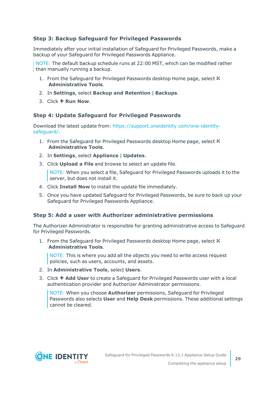#### **Step 3: Backup Safeguard for Privileged Passwords**

Immediately after your initial installation of Safeguard for Privileged Passwords, make a backup of your Safeguard for Privileged Passwords Appliance.

NOTE: The default backup schedule runs at 22:00 MST, which can be modified rather than manually running a backup.

- 1. From the Safeguard for Privileged Passwords desktop Home page, select  $\times$ **Administrative Tools**.
- 2. In **Settings**, select **Backup and Retention** | **Backups**.
- 3. Click **Run Now**.

#### **Step 4: Update Safeguard for Privileged Passwords**

Download the latest update from: [https://support.oneidentity.com/one-identity](https://support.oneidentity.com/one-identity-safeguard/)[safeguard/.](https://support.oneidentity.com/one-identity-safeguard/)

- 1. From the Safeguard for Privileged Passwords desktop Home page, select  $\times$ **Administrative Tools**.
- 2. In **Settings**, select **Appliance** | **Updates**.
- 3. Click **Upload a File** and browse to select an update file.

NOTE: When you select a file, Safeguard for Privileged Passwords uploads it to the server, but does not install it.

- 4. Click **Install Now** to install the update file immediately.
- 5. Once you have updated Safeguard for Privileged Passwords, be sure to back up your Safeguard for Privileged Passwords Appliance.

#### **Step 5: Add a user with Authorizer administrative permissions**

The Authorizer Administrator is responsible for granting administrative access to Safeguard for Privileged Passwords.

1. From the Safeguard for Privileged Passwords desktop Home page, select  $\times$ **Administrative Tools**.

NOTE: This is where you add all the objects you need to write access request policies, such as users, accounts, and assets.

- 2. In **Administrative Tools**, select **Users**.
- 3. Click **Add User** to create a Safeguard for Privileged Passwords user with a local authentication provider and Authorizer Administrator permissions.

NOTE: When you choose **Authorizer** permissions, Safeguard for Privileged Passwords also selects **User** and **Help Desk** permissions. These additional settings cannot be cleared.

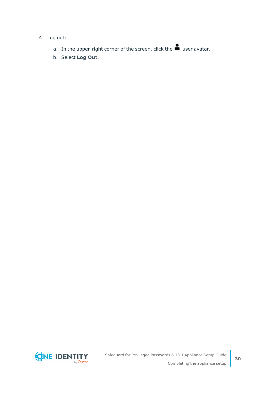#### 4. Log out:

- a. In the upper-right corner of the screen, click the **under** user avatar.
- b. Select **Log Out**.

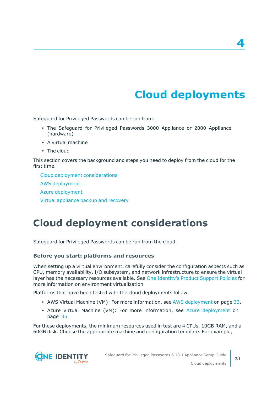# **Cloud deployments**

**4**

<span id="page-30-0"></span>Safeguard for Privileged Passwords can be run from:

- The Safeguard for Privileged Passwords 3000 Appliance or 2000 Appliance (hardware)
- A virtual machine
- The cloud

This section covers the background and steps you need to deploy from the cloud for the first time.

Cloud deployment [considerations](#page-30-1)

AWS [deployment](#page-32-0)

Azure [deployment](#page-34-0)

<span id="page-30-1"></span>Virtual [appliance](#page-36-0) backup and recovery

## **Cloud deployment considerations**

Safeguard for Privileged Passwords can be run from the cloud.

#### **Before you start: platforms and resources**

When setting up a virtual environment, carefully consider the configuration aspects such as CPU, memory availability, I/O subsystem, and network infrastructure to ensure the virtual layer has the necessary resources available. See One [Identity's](https://support.oneidentity.com/essentials/support-guide#tab3) Product Support Policies for more information on environment virtualization.

Platforms that have been tested with the cloud deployments follow.

- AWS Virtual Machine (VM): For more [information,](#page-32-0) see AWS deployment on page 33.
- Azure Virtual Machine (VM): For more [information,](#page-34-0) see Azure deployment on [page](#page-34-0) 35.

For these deployments, the minimum resources used in test are 4 CPUs, 10GB RAM, and a 60GB disk. Choose the appropriate machine and configuration template. For example,

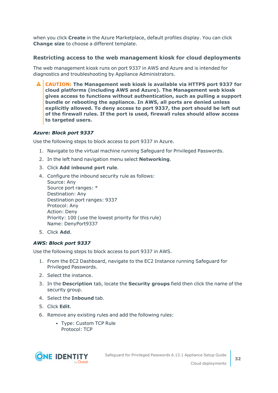when you click **Create** in the Azure Marketplace, default profiles display. You can click **Change size** to choose a different template.

#### **Restricting access to the web management kiosk for cloud deployments**

The web management kiosk runs on port 9337 in AWS and Azure and is intended for diagnostics and troubleshooting by Appliance Administrators.

**CAUTION: The Management web kiosk is available via HTTPS port 9337 for cloud platforms (including AWS and Azure). The Management web kiosk gives access to functions without authentication, such as pulling a support bundle or rebooting the appliance. In AWS, all ports are denied unless explicitly allowed. To deny access to port 9337, the port should be left out of the firewall rules. If the port is used, firewall rules should allow access to targeted users.**

#### *Azure: Block port 9337*

Use the following steps to block access to port 9337 in Azure.

- 1. Navigate to the virtual machine running Safeguard for Privileged Passwords.
- 2. In the left hand navigation menu select **Networking**.
- 3. Click **Add inbound port rule**.
- 4. Configure the inbound security rule as follows: Source: Any Source port ranges: \* Destination: Any Destination port ranges: 9337 Protocol: Any Action: Deny Priority: 100 (use the lowest priority for this rule) Name: DenyPort9337
- 5. Click **Add**.

#### *AWS: Block port 9337*

Use the following steps to block access to port 9337 in AWS.

- 1. From the EC2 Dashboard, navigate to the EC2 Instance running Safeguard for Privileged Passwords.
- 2. Select the instance.
- 3. In the **Description** tab, locate the **Security groups** field then click the name of the security group.
- 4. Select the **Inbound** tab.
- 5. Click **Edit**.
- 6. Remove any existing rules and add the following rules:
	- Type: Custom TCP Rule Protocol: TCP

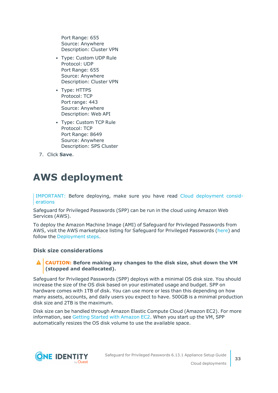Port Range: 655 Source: Anywhere Description: Cluster VPN

- Type: Custom UDP Rule Protocol: UDP Port Range: 655 Source: Anywhere Description: Cluster VPN
- Type: HTTPS Protocol: TCP Port range: 443 Source: Anywhere Description: Web API
- Type: Custom TCP Rule Protocol: TCP Port Range: 8649 Source: Anywhere Description: SPS Cluster
- <span id="page-32-0"></span>7. Click **Save**.

## **AWS deployment**

IMPORTANT: Before deploying, make sure you have read Cloud [deployment](#page-30-1) consid[erations](#page-30-1)

Safeguard for Privileged Passwords (SPP) can be run in the cloud using Amazon Web Services (AWS).

To deploy the Amazon Machine Image (AMI) of Safeguard for Privileged Passwords from AWS, visit the AWS marketplace listing for Safeguard for Privileged Passwords ([here](https://aws.amazon.com/marketplace/pp/B08KFPZ387?qid=1603920178098&sr=0-2&ref_=srh_res_product_title)) and follow the [Deployment](#page-33-0) steps.

#### <span id="page-32-1"></span>**Disk size considerations**

#### **CAUTION: Before making any changes to the disk size, shut down the VM (stopped and deallocated).**

Safeguard for Privileged Passwords (SPP) deploys with a minimal OS disk size. You should increase the size of the OS disk based on your estimated usage and budget. SPP on hardware comes with 1TB of disk. You can use more or less than this depending on how many assets, accounts, and daily users you expect to have. 500GB is a minimal production disk size and 2TB is the maximum.

Disk size can be handled through Amazon Elastic Compute Cloud (Amazon EC2). For more information, see Getting Started with [Amazon](https://aws.amazon.com/ec2/getting-started/) EC2. When you start up the VM, SPP automatically resizes the OS disk volume to use the available space.

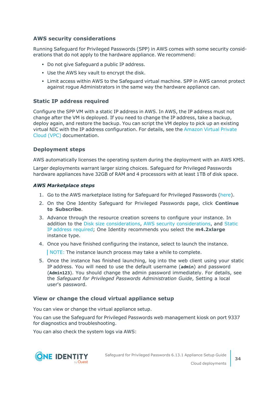#### <span id="page-33-1"></span>**AWS security considerations**

Running Safeguard for Privileged Passwords (SPP) in AWS comes with some security considerations that do not apply to the hardware appliance. We recommend:

- Do not give Safeguard a public IP address.
- Use the AWS key vault to encrypt the disk.
- Limit access within AWS to the Safeguard virtual machine. SPP in AWS cannot protect against rogue Administrators in the same way the hardware appliance can.

#### <span id="page-33-2"></span>**Static IP address required**

Configure the SPP VM with a static IP address in AWS. In AWS, the IP address must not change after the VM is deployed. If you need to change the IP address, take a backup, deploy again, and restore the backup. You can script the VM deploy to pick up an existing virtual NIC with the IP address configuration. For details, see the [Amazon](https://docs.aws.amazon.com/vpc/latest/userguide/what-is-amazon-vpc.html) Virtual Private Cloud [\(VPC\)](https://docs.aws.amazon.com/vpc/latest/userguide/what-is-amazon-vpc.html) documentation.

#### <span id="page-33-0"></span>**Deployment steps**

AWS automatically licenses the operating system during the deployment with an AWS KMS.

Larger deployments warrant larger sizing choices. Safeguard for Privileged Passwords hardware appliances have 32GB of RAM and 4 processors with at least 1TB of disk space.

#### *AWS Marketplace steps*

- 1. Go to the AWS marketplace listing for Safeguard for Privileged Passwords ([here](https://aws.amazon.com/marketplace/pp/B08KFPZ387?qid=1603920178098&sr=0-2&ref_=srh_res_product_title)).
- 2. On the One Identity Safeguard for Privileged Passwords page, click **Continue to Subscribe**.
- 3. Advance through the resource creation screens to configure your instance. In addition to the Disk size [considerations](#page-32-1), AWS security [considerations,](#page-33-1) and [Static](#page-33-2) [IP address](#page-33-2) required; One Identity recommends you select the **m4.2xlarge** instance type.
- 4. Once you have finished configuring the instance, select to launch the instance.

NOTE: The instance launch process may take a while to complete.

5. Once the instance has finished launching, log into the web client using your static IP address. You will need to use the default username (**admin**) and password (**Admin123**). You should change the admin password immediately. For details, see the *Safeguard for Privileged Passwords Administration Guide*, Setting a local user's password.

#### **View or change the cloud virtual appliance setup**

You can view or change the virtual appliance setup.

You can use the Safeguard for Privileged Passwords web management kiosk on port 9337 for diagnostics and troubleshooting.

You can also check the system logs via AWS:

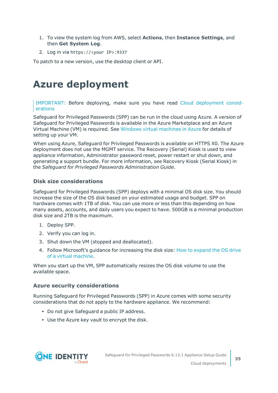- 1. To view the system log from AWS, select **Actions**, then **Instance Settings**, and then **Get System Log**.
- 2. Log in via https://<your IP>:9337

<span id="page-34-0"></span>To patch to a new version, use the desktop client or API.

## **Azure deployment**

IMPORTANT: Before deploying, make sure you have read Cloud [deployment](#page-30-1) consid[erations](#page-30-1)

Safeguard for Privileged Passwords (SPP) can be run in the cloud using Azure. A version of Safeguard for Privileged Passwords is available in the Azure Marketplace and an Azure Virtual Machine (VM) is required. See Windows virtual [machines](https://docs.microsoft.com/en-us/azure/virtual-machines/windows/overview) in Azure for details of setting up your VM.

When using Azure, Safeguard for Privileged Passwords is available on HTTPS X0. The Azure deployment does not use the MGMT service. The Recovery (Serial) Kiosk is used to view appliance information, Administrator password reset, power restart or shut down, and generating a support bundle. For more information, see Recovery Kiosk (Serial Kiosk) in the *Safeguard for Privileged Passwords Administration Guide*.

#### **Disk size considerations**

Safeguard for Privileged Passwords (SPP) deploys with a minimal OS disk size. You should increase the size of the OS disk based on your estimated usage and budget. SPP on hardware comes with 1TB of disk. You can use more or less than this depending on how many assets, accounts, and daily users you expect to have. 500GB is a minimal production disk size and 2TB is the maximum.

- 1. Deploy SPP.
- 2. Verify you can log in.
- 3. Shut down the VM (stopped and deallocated).
- 4. Follow Microsoft's guidance for increasing the disk size: How to [expand](https://docs.microsoft.com/en-us/azure/virtual-machines/windows/expand-os-disk) the OS drive of a virtual [machine](https://docs.microsoft.com/en-us/azure/virtual-machines/windows/expand-os-disk).

When you start up the VM, SPP automatically resizes the OS disk volume to use the available space.

#### **Azure security considerations**

Running Safeguard for Privileged Passwords (SPP) in Azure comes with some security considerations that do not apply to the hardware appliance. We recommend:

- Do not give Safeguard a public IP address.
- Use the Azure key vault to encrypt the disk.

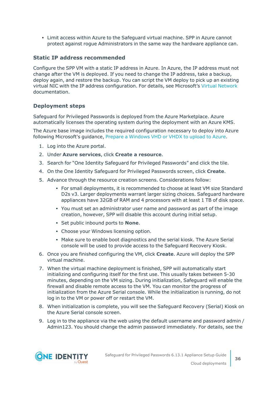• Limit access within Azure to the Safeguard virtual machine. SPP in Azure cannot protect against rogue Administrators in the same way the hardware appliance can.

#### **Static IP address recommended**

Configure the SPP VM with a static IP address in Azure. In Azure, the IP address must not change after the VM is deployed. If you need to change the IP address, take a backup, deploy again, and restore the backup. You can script the VM deploy to pick up an existing virtual NIC with the IP address configuration. For details, see Microsoft's Virtual [Network](https://docs.microsoft.com/en-us/azure/virtual-network/) documentation.

#### **Deployment steps**

Safeguard for Privileged Passwords is deployed from the Azure Marketplace. Azure automatically licenses the operating system during the deployment with an Azure KMS.

The Azure base image includes the required configuration necessary to deploy into Azure following Microsoft's guidance, Prepare a [Windows](https://docs.microsoft.com/en-us/azure/virtual-machines/windows/prepare-for-upload-vhd-image) VHD or VHDX to upload to Azure.

- 1. Log into the Azure portal.
- 2. Under **Azure services**, click **Create a resource**.
- 3. Search for "One Identity Safeguard for Privileged Passwords" and click the tile.
- 4. On the One Identity Safeguard for Privileged Passwords screen, click **Create**.
- 5. Advance through the resource creation screens. Considerations follow:
	- For small deployments, it is recommended to choose at least VM size Standard D2s v3. Larger deployments warrant larger sizing choices. Safeguard hardware appliances have 32GB of RAM and 4 processors with at least 1 TB of disk space.
	- You must set an administrator user name and password as part of the image creation, however, SPP will disable this account during initial setup.
	- **.** Set public inbound ports to **None**.
	- Choose your Windows licensing option.
	- Make sure to enable boot diagnostics and the serial kiosk. The Azure Serial console will be used to provide access to the Safeguard Recovery Kiosk.
- 6. Once you are finished configuring the VM, click **Create**. Azure will deploy the SPP virtual machine.
- 7. When the virtual machine deployment is finished, SPP will automatically start initializing and configuring itself for the first use. This usually takes between 5-30 minutes, depending on the VM sizing. During initialization, Safeguard will enable the firewall and disable remote access to the VM. You can monitor the progress of initialization from the Azure Serial console. While the initialization is running, do not log in to the VM or power off or restart the VM.
- 8. When initialization is complete, you will see the Safeguard Recovery (Serial) Kiosk on the Azure Serial console screen.
- 9. Log in to the appliance via the web using the default username and password admin / Admin123. You should change the admin password immediately. For details, see the

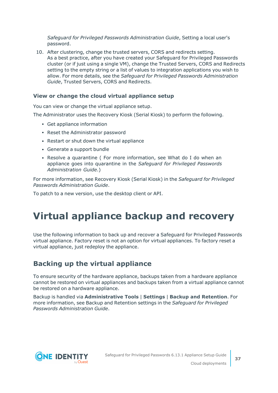*Safeguard for Privileged Passwords Administration Guide*, Setting a local user's password.

10. After clustering, change the trusted servers, CORS and redirects setting. As a best practice, after you have created your Safeguard for Privileged Passwords cluster (or if just using a single VM), change the Trusted Servers, CORS and Redirects setting to the empty string or a list of values to integration applications you wish to allow. For more details, see the *Safeguard for Privileged Passwords Administration Guide*, Trusted Servers, CORS and Redirects.

#### **View or change the cloud virtual appliance setup**

You can view or change the virtual appliance setup.

The Administrator uses the Recovery Kiosk (Serial Kiosk) to perform the following.

- Get appliance information
- Reset the Administrator password
- Restart or shut down the virtual appliance
- Generate a support bundle
- Resolve a quarantine ( For more information, see What do I do when an appliance goes into quarantine in the *Safeguard for Privileged Passwords Administration Guide*.)

For more information, see Recovery Kiosk (Serial Kiosk) in the *Safeguard for Privileged Passwords Administration Guide*.

<span id="page-36-0"></span>To patch to a new version, use the desktop client or API.

## **Virtual appliance backup and recovery**

Use the following information to back up and recover a Safeguard for Privileged Passwords virtual appliance. Factory reset is not an option for virtual appliances. To factory reset a virtual appliance, just redeploy the appliance.

### **Backing up the virtual appliance**

To ensure security of the hardware appliance, backups taken from a hardware appliance cannot be restored on virtual appliances and backups taken from a virtual appliance cannot be restored on a hardware appliance.

Backup is handled via **Administrative Tools** | **Settings** | **Backup and Retention**. For more information, see Backup and Retention settings in the *Safeguard for Privileged Passwords Administration Guide*.

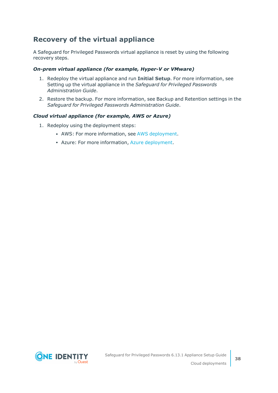### **Recovery of the virtual appliance**

A Safeguard for Privileged Passwords virtual appliance is reset by using the following recovery steps.

#### *On-prem virtual appliance (for example, Hyper-V or VMware)*

- 1. Redeploy the virtual appliance and run **Initial Setup**. For more information, see Setting up the virtual appliance in the *Safeguard for Privileged Passwords Administration Guide*.
- 2. Restore the backup. For more information, see Backup and Retention settings in the *Safeguard for Privileged Passwords Administration Guide*.

#### *Cloud virtual appliance (for example, AWS or Azure)*

- 1. Redeploy using the deployment steps:
	- AWS: For more information, see AWS [deployment](#page-32-0).
	- Azure: For more information, Azure [deployment](#page-34-0).

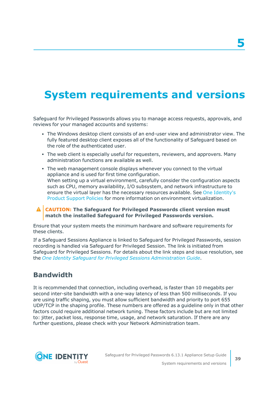# <span id="page-38-0"></span>**System requirements and versions**

Safeguard for Privileged Passwords allows you to manage access requests, approvals, and reviews for your managed accounts and systems:

- The Windows desktop client consists of an end-user view and administrator view. The fully featured desktop client exposes all of the functionality of Safeguard based on the role of the authenticated user.
- The web client is especially useful for requesters, reviewers, and approvers. Many administration functions are available as well.
- The web management console displays whenever you connect to the virtual appliance and is used for first time configuration. When setting up a virtual environment, carefully consider the configuration aspects such as CPU, memory availability, I/O subsystem, and network infrastructure to ensure the virtual layer has the necessary resources available. See One [Identity's](https://support.oneidentity.com/essentials/support-guide#tab3) Product [Support](https://support.oneidentity.com/essentials/support-guide#tab3) Policies for more information on environment virtualization.

#### **CAUTION: The Safeguard for Privileged Passwords client version must match the installed Safeguard for Privileged Passwords version.**

Ensure that your system meets the minimum hardware and software requirements for these clients.

If a Safeguard Sessions Appliance is linked to Safeguard for Privileged Passwords, session recording is handled via Safeguard for Privileged Session. The link is initiated from Safeguard for Privileged Sessions. For details about the link steps and issue resolution, see the *One Identity Safeguard for Privileged Sessions [Administration](https://support.oneidentity.com/technical-documents/one-identity-safeguard-for-privileged-sessions/administration-guide) Guide*.

### **Bandwidth**

It is recommended that connection, including overhead, is faster than 10 megabits per second inter-site bandwidth with a one-way latency of less than 500 milliseconds. If you are using traffic shaping, you must allow sufficient bandwidth and priority to port 655 UDP/TCP in the shaping profile. These numbers are offered as a guideline only in that other factors could require additional network tuning. These factors include but are not limited to: jitter, packet loss, response time, usage, and network saturation. If there are any further questions, please check with your Network Administration team.

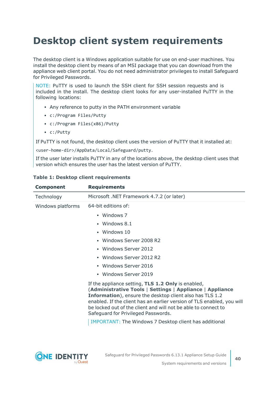## <span id="page-39-0"></span>**Desktop client system requirements**

The desktop client is a Windows application suitable for use on end-user machines. You install the desktop client by means of an MSI package that you can download from the appliance web client portal. You do not need administrator privileges to install Safeguard for Privileged Passwords.

NOTE: PuTTY is used to launch the SSH client for SSH session requests and is included in the install. The desktop client looks for any user-installed PuTTY in the following locations:

- Any reference to putty in the PATH environment variable
- c:/Program Files/Putty
- c:/Program Files(x86)/Putty
- c:/Putty

If PuTTY is not found, the desktop client uses the version of PuTTY that it installed at:

<user-home-dir>/AppData/Local/Safeguard/putty.

If the user later installs PuTTY in any of the locations above, the desktop client uses that version which ensures the user has the latest version of PuTTY.

| <b>Requirements</b>                                                                                                                                                                                                                                                                                                                                                   |
|-----------------------------------------------------------------------------------------------------------------------------------------------------------------------------------------------------------------------------------------------------------------------------------------------------------------------------------------------------------------------|
| Microsoft .NET Framework 4.7.2 (or later)                                                                                                                                                                                                                                                                                                                             |
| 64-bit editions of:                                                                                                                                                                                                                                                                                                                                                   |
| • Windows 7                                                                                                                                                                                                                                                                                                                                                           |
| • Windows $8.1$                                                                                                                                                                                                                                                                                                                                                       |
| Windows 10<br>$\bullet$                                                                                                                                                                                                                                                                                                                                               |
| • Windows Server 2008 R2                                                                                                                                                                                                                                                                                                                                              |
| • Windows Server 2012                                                                                                                                                                                                                                                                                                                                                 |
| • Windows Server 2012 R2                                                                                                                                                                                                                                                                                                                                              |
| • Windows Server 2016                                                                                                                                                                                                                                                                                                                                                 |
| • Windows Server 2019                                                                                                                                                                                                                                                                                                                                                 |
| If the appliance setting, TLS 1.2 Only is enabled,<br>(Administrative Tools   Settings   Appliance   Appliance<br><b>Information</b> ), ensure the desktop client also has TLS 1.2<br>enabled. If the client has an earlier version of TLS enabled, you will<br>be locked out of the client and will not be able to connect to<br>Safeguard for Privileged Passwords. |
|                                                                                                                                                                                                                                                                                                                                                                       |

#### **Table 1: Desktop client requirements**

IMPORTANT: The Windows 7 Desktop client has additional

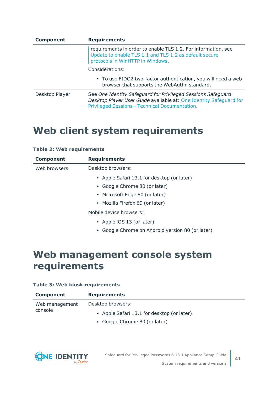| <b>Component</b> | <b>Requirements</b>                                                                                                                                                                  |
|------------------|--------------------------------------------------------------------------------------------------------------------------------------------------------------------------------------|
|                  | requirements in order to enable TLS 1.2. For information, see<br>Update to enable TLS 1.1 and TLS 1.2 as default secure<br>protocols in WinHTTP in Windows.                          |
|                  | Considerations:                                                                                                                                                                      |
|                  | • To use FIDO2 two-factor authentication, you will need a web<br>browser that supports the WebAuthn standard.                                                                        |
| Desktop Player   | See One Identity Safeguard for Privileged Sessions Safeguard<br>Desktop Player User Guide available at: One Identity Safeguard for<br>Privileged Sessions - Technical Documentation. |

## <span id="page-40-0"></span>**Web client system requirements**

| <b>Component</b> | <b>Requirements</b>                              |
|------------------|--------------------------------------------------|
| Web browsers     | Desktop browsers:                                |
|                  | • Apple Safari 13.1 for desktop (or later)       |
|                  | • Google Chrome 80 (or later)                    |
|                  | • Microsoft Edge 80 (or later)                   |
|                  | • Mozilla Firefox 69 (or later)                  |
|                  | Mobile device browsers:                          |
|                  | • Apple iOS 13 (or later)                        |
|                  | • Google Chrome on Android version 80 (or later) |

#### **Table 2: Web requirements**

## <span id="page-40-1"></span>**Web management console system requirements**

#### **Table 3: Web kiosk requirements**

| <b>Component</b> | <b>Requirements</b>                        |
|------------------|--------------------------------------------|
| Web management   | Desktop browsers:                          |
| console          | • Apple Safari 13.1 for desktop (or later) |
|                  | • Google Chrome 80 (or later)              |

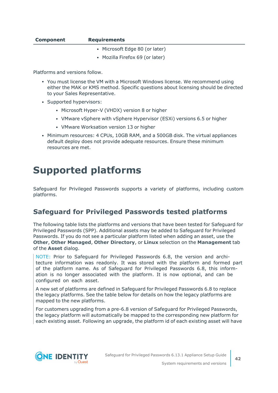| <b>Component</b> | <b>Requirements</b>            |  |
|------------------|--------------------------------|--|
|                  | • Microsoft Edge 80 (or later) |  |

• Mozilla Firefox 69 (or later)

Platforms and versions follow.

- You must license the VM with a Microsoft Windows license. We recommend using either the MAK or KMS method. Specific questions about licensing should be directed to your Sales Representative.
- Supported hypervisors:
	- Microsoft Hyper-V (VHDX) version 8 or higher
	- VMware vSphere with vSphere Hypervisor (ESXi) versions 6.5 or higher
	- VMware Worksation version 13 or higher
- Minimum resources: 4 CPUs, 10GB RAM, and a 500GB disk. The virtual appliances default deploy does not provide adequate resources. Ensure these minimum resources are met.

## <span id="page-41-0"></span>**Supported platforms**

Safeguard for Privileged Passwords supports a variety of platforms, including custom platforms.

### **Safeguard for Privileged Passwords tested platforms**

The following table lists the platforms and versions that have been tested for Safeguard for Privileged Passwords (SPP). Additional assets may be added to Safeguard for Privileged Passwords. If you do not see a particular platform listed when adding an asset, use the **Other**, **Other Managed**, **Other Directory**, or **Linux** selection on the **Management** tab of the **Asset** dialog.

NOTE: Prior to Safeguard for Privileged Passwords 6.8, the version and architecture information was readonly. It was stored with the platform and formed part of the platform name. As of Safeguard for Privileged Passwords 6.8, this information is no longer associated with the platform. It is now optional, and can be configured on each asset.

A new set of platforms are defined in Safeguard for Privileged Passwords 6.8 to replace the legacy platforms. See the table below for details on how the legacy platforms are mapped to the new platforms.

For customers upgrading from a pre-6.8 version of Safeguard for Privileged Passwords, the legacy platform will automatically be mapped to the corresponding new platform for each existing asset. Following an upgrade, the platform id of each existing asset will have

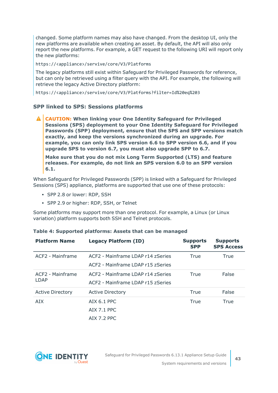changed. Some platform names may also have changed. From the desktop UI, only the new platforms are available when creating an asset. By default, the API will also only report the new platforms. For example, a GET request to the following URI will report only the new platforms:

https://<appliance>/servive/core/V3/Platforms

The legacy platforms still exist within Safeguard for Privileged Passwords for reference, but can only be retrieved using a filter query with the API. For example, the following will retrieve the legacy Active Directory platform:

https://<appliance>/servive/core/V3/Platforms?filter=Id%20eq%203

#### **SPP linked to SPS: Sessions platforms**

**CAUTION: When linking your One Identity Safeguard for Privileged Sessions (SPS) deployment to your One Identity Safeguard for Privileged Passwords (SPP) deployment, ensure that the SPS and SPP versions match exactly, and keep the versions synchronized during an upgrade. For example, you can only link SPS version 6.6 to SPP version 6.6, and if you upgrade SPS to version 6.7, you must also upgrade SPP to 6.7.**

**Make sure that you do not mix Long Term Supported (LTS) and feature releases. For example, do not link an SPS version 6.0 to an SPP version 6.1.**

When Safeguard for Privileged Passwords (SPP) is linked with a Safeguard for Privileged Sessions (SPS) appliance, platforms are supported that use one of these protocols:

- SPP 2.8 or lower: RDP, SSH
- SPP 2.9 or higher: RDP, SSH, or Telnet

Some platforms may support more than one protocol. For example, a Linux (or Linux variation) platform supports both SSH and Telnet protocols.

| <b>Platform Name</b>                  | <b>Legacy Platform (ID)</b>                                            | <b>Supports</b><br><b>SPP</b> | <b>Supports</b><br><b>SPS Access</b> |
|---------------------------------------|------------------------------------------------------------------------|-------------------------------|--------------------------------------|
| ACF2 - Mainframe                      | ACF2 - Mainframe LDAP r14 zSeries<br>ACF2 - Mainframe LDAP r15 zSeries | True                          | True                                 |
| ACF2 - Mainframe<br>LDAP <sup>.</sup> | ACF2 - Mainframe LDAP r14 zSeries<br>ACF2 - Mainframe LDAP r15 zSeries | True                          | False                                |
| <b>Active Directory</b>               | <b>Active Directory</b>                                                | True                          | False                                |
| AIX                                   | AIX 6.1 PPC<br>AIX 7.1 PPC<br>AIX 7.2 PPC                              | True                          | True                                 |

#### **Table 4: Supported platforms: Assets that can be managed**

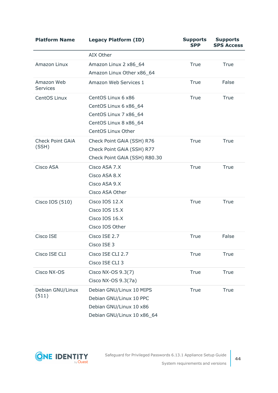| <b>Platform Name</b>          | <b>Legacy Platform (ID)</b>   | <b>Supports</b><br><b>SPP</b> | <b>Supports</b><br><b>SPS Access</b> |
|-------------------------------|-------------------------------|-------------------------------|--------------------------------------|
|                               | AIX Other                     |                               |                                      |
| Amazon Linux                  | Amazon Linux 2 x86_64         | True                          | True                                 |
|                               | Amazon Linux Other x86_64     |                               |                                      |
| Amazon Web<br><b>Services</b> | Amazon Web Services 1         | True                          | False                                |
| CentOS Linux                  | CentOS Linux 6 x86            | <b>True</b>                   | <b>True</b>                          |
|                               | CentOS Linux 6 x86_64         |                               |                                      |
|                               | CentOS Linux 7 x86_64         |                               |                                      |
|                               | CentOS Linux 8 x86_64         |                               |                                      |
|                               | CentOS Linux Other            |                               |                                      |
| <b>Check Point GAIA</b>       | Check Point GAiA (SSH) R76    | True                          | True                                 |
| (SSH)                         | Check Point GAiA (SSH) R77    |                               |                                      |
|                               | Check Point GAIA (SSH) R80.30 |                               |                                      |
| <b>Cisco ASA</b>              | Cisco ASA 7.X                 | True                          | <b>True</b>                          |
|                               | Cisco ASA 8.X                 |                               |                                      |
|                               | Cisco ASA 9.X                 |                               |                                      |
|                               | Cisco ASA Other               |                               |                                      |
| Cisco IOS (510)               | Cisco IOS 12.X                | True                          | True                                 |
|                               | Cisco IOS 15.X                |                               |                                      |
|                               | Cisco IOS 16.X                |                               |                                      |
|                               | Cisco IOS Other               |                               |                                      |
| Cisco ISE                     | Cisco ISE 2.7                 | <b>True</b>                   | False                                |
|                               | Cisco ISE 3                   |                               |                                      |
| Cisco ISE CLI                 | Cisco ISE CLI 2.7             | <b>True</b>                   | True                                 |
|                               | Cisco ISE CLI 3               |                               |                                      |
| Cisco NX-OS                   | Cisco NX-OS 9.3(7)            | True                          | True                                 |
|                               | Cisco NX-OS 9.3(7a)           |                               |                                      |
| Debian GNU/Linux              | Debian GNU/Linux 10 MIPS      | True                          | True                                 |
| (511)                         | Debian GNU/Linux 10 PPC       |                               |                                      |
|                               | Debian GNU/Linux 10 x86       |                               |                                      |
|                               | Debian GNU/Linux 10 x86_64    |                               |                                      |

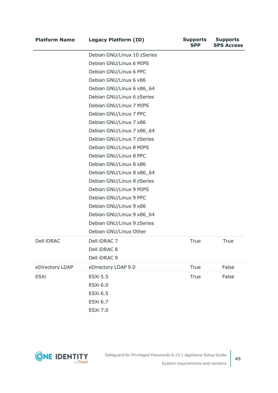| <b>Platform Name</b> | <b>Legacy Platform (ID)</b> | <b>Supports</b><br>SPP | <b>Supports</b><br><b>SPS Access</b> |
|----------------------|-----------------------------|------------------------|--------------------------------------|
|                      | Debian GNU/Linux 10 zSeries |                        |                                      |
|                      | Debian GNU/Linux 6 MIPS     |                        |                                      |
|                      | Debian GNU/Linux 6 PPC      |                        |                                      |
|                      | Debian GNU/Linux 6 x86      |                        |                                      |
|                      | Debian GNU/Linux 6 x86_64   |                        |                                      |
|                      | Debian GNU/Linux 6 zSeries  |                        |                                      |
|                      | Debian GNU/Linux 7 MIPS     |                        |                                      |
|                      | Debian GNU/Linux 7 PPC      |                        |                                      |
|                      | Debian GNU/Linux 7 x86      |                        |                                      |
|                      | Debian GNU/Linux 7 x86_64   |                        |                                      |
|                      | Debian GNU/Linux 7 zSeries  |                        |                                      |
|                      | Debian GNU/Linux 8 MIPS     |                        |                                      |
|                      | Debian GNU/Linux 8 PPC      |                        |                                      |
|                      | Debian GNU/Linux 8 x86      |                        |                                      |
|                      | Debian GNU/Linux 8 x86_64   |                        |                                      |
|                      | Debian GNU/Linux 8 zSeries  |                        |                                      |
|                      | Debian GNU/Linux 9 MIPS     |                        |                                      |
|                      | Debian GNU/Linux 9 PPC      |                        |                                      |
|                      | Debian GNU/Linux 9 x86      |                        |                                      |
|                      | Debian GNU/Linux 9 x86_64   |                        |                                      |
|                      | Debian GNU/Linux 9 zSeries  |                        |                                      |
|                      | Debian GNU/Linux Other      |                        |                                      |
| Dell iDRAC           | Dell iDRAC 7                | True                   | True                                 |
|                      | Dell iDRAC 8                |                        |                                      |
|                      | Dell iDRAC 9                |                        |                                      |
| eDirectory LDAP      | eDirectory LDAP 9.0         | True                   | False                                |
| <b>ESXi</b>          | <b>ESXi 5.5</b>             | <b>True</b>            | False                                |
|                      | <b>ESXi 6.0</b>             |                        |                                      |
|                      | <b>ESXi 6.5</b>             |                        |                                      |
|                      | <b>ESXi 6.7</b>             |                        |                                      |
|                      | <b>ESXi 7.0</b>             |                        |                                      |

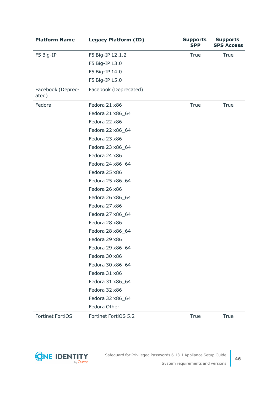| <b>Platform Name</b>       | <b>Legacy Platform (ID)</b> | <b>Supports</b><br><b>SPP</b> | <b>Supports</b><br><b>SPS Access</b> |
|----------------------------|-----------------------------|-------------------------------|--------------------------------------|
| F5 Big-IP                  | F5 Big-IP 12.1.2            | True                          | True                                 |
|                            | F5 Big-IP 13.0              |                               |                                      |
|                            | F5 Big-IP 14.0              |                               |                                      |
|                            | F5 Big-IP 15.0              |                               |                                      |
| Facebook (Deprec-<br>ated) | Facebook (Deprecated)       |                               |                                      |
| Fedora                     | Fedora 21 x86               | True                          | True                                 |
|                            | Fedora 21 x86_64            |                               |                                      |
|                            | Fedora 22 x86               |                               |                                      |
|                            | Fedora 22 x86_64            |                               |                                      |
|                            | Fedora 23 x86               |                               |                                      |
|                            | Fedora 23 x86_64            |                               |                                      |
|                            | Fedora 24 x86               |                               |                                      |
|                            | Fedora 24 x86_64            |                               |                                      |
|                            | Fedora 25 x86               |                               |                                      |
|                            | Fedora 25 x86_64            |                               |                                      |
|                            | Fedora 26 x86               |                               |                                      |
|                            | Fedora 26 x86_64            |                               |                                      |
|                            | Fedora 27 x86               |                               |                                      |
|                            | Fedora 27 x86_64            |                               |                                      |
|                            | Fedora 28 x86               |                               |                                      |
|                            | Fedora 28 x86_64            |                               |                                      |
|                            | Fedora 29 x86               |                               |                                      |
|                            | Fedora 29 x86_64            |                               |                                      |
|                            | Fedora 30 x86               |                               |                                      |
|                            | Fedora 30 x86_64            |                               |                                      |
|                            | Fedora 31 x86               |                               |                                      |
|                            | Fedora 31 x86_64            |                               |                                      |
|                            | Fedora 32 x86               |                               |                                      |
|                            | Fedora 32 x86_64            |                               |                                      |
|                            | Fedora Other                |                               |                                      |
| <b>Fortinet FortiOS</b>    | Fortinet FortiOS 5.2        | True                          | True                                 |

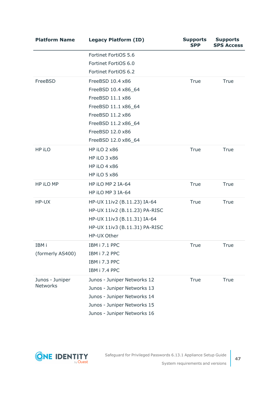| <b>Platform Name</b> | <b>Legacy Platform (ID)</b>   | <b>Supports</b><br><b>SPP</b> | <b>Supports</b><br><b>SPS Access</b> |
|----------------------|-------------------------------|-------------------------------|--------------------------------------|
|                      | <b>Fortinet FortiOS 5.6</b>   |                               |                                      |
|                      | Fortinet FortiOS 6.0          |                               |                                      |
|                      | Fortinet FortiOS 6.2          |                               |                                      |
| FreeBSD              | FreeBSD 10.4 x86              | True                          | True                                 |
|                      | FreeBSD 10.4 x86_64           |                               |                                      |
|                      | FreeBSD 11.1 x86              |                               |                                      |
|                      | FreeBSD 11.1 x86_64           |                               |                                      |
|                      | FreeBSD 11.2 x86              |                               |                                      |
|                      | FreeBSD 11.2 x86_64           |                               |                                      |
|                      | FreeBSD 12.0 x86              |                               |                                      |
|                      | FreeBSD 12.0 x86_64           |                               |                                      |
| HP iLO               | <b>HP iLO 2 x86</b>           | <b>True</b>                   | True                                 |
|                      | HP iLO 3 x86                  |                               |                                      |
|                      | <b>HP iLO 4 x86</b>           |                               |                                      |
|                      | <b>HP iLO 5 x86</b>           |                               |                                      |
| HP iLO MP            | HP ILO MP 2 IA-64             | True                          | True                                 |
|                      | HP ILO MP 3 IA-64             |                               |                                      |
| HP-UX                | HP-UX 11iv2 (B.11.23) IA-64   | True                          | True                                 |
|                      | HP-UX 11iv2 (B.11.23) PA-RISC |                               |                                      |
|                      | HP-UX 11iv3 (B.11.31) IA-64   |                               |                                      |
|                      | HP-UX 11iv3 (B.11.31) PA-RISC |                               |                                      |
|                      | HP-UX Other                   |                               |                                      |
| IBM i                | IBM i 7.1 PPC                 | True                          | True                                 |
| (formerly AS400)     | IBM i 7.2 PPC                 |                               |                                      |
|                      | IBM i 7.3 PPC                 |                               |                                      |
|                      | IBM i 7.4 PPC                 |                               |                                      |
| Junos - Juniper      | Junos - Juniper Networks 12   | True                          | True                                 |
| Networks             | Junos - Juniper Networks 13   |                               |                                      |
|                      | Junos - Juniper Networks 14   |                               |                                      |
|                      | Junos - Juniper Networks 15   |                               |                                      |
|                      | Junos - Juniper Networks 16   |                               |                                      |

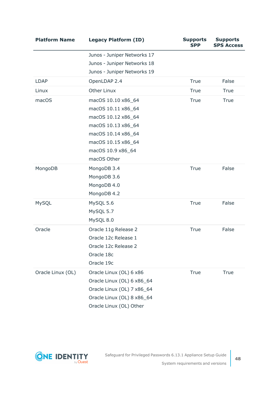| <b>Platform Name</b> | <b>Legacy Platform (ID)</b> | <b>Supports</b><br><b>SPP</b> | <b>Supports</b><br><b>SPS Access</b> |
|----------------------|-----------------------------|-------------------------------|--------------------------------------|
|                      | Junos - Juniper Networks 17 |                               |                                      |
|                      | Junos - Juniper Networks 18 |                               |                                      |
|                      | Junos - Juniper Networks 19 |                               |                                      |
| <b>LDAP</b>          | OpenLDAP 2.4                | True                          | False                                |
| Linux                | <b>Other Linux</b>          | True                          | True                                 |
| macOS                | macOS 10.10 x86_64          | True                          | <b>True</b>                          |
|                      | macOS 10.11 x86_64          |                               |                                      |
|                      | macOS 10.12 x86_64          |                               |                                      |
|                      | macOS 10.13 x86_64          |                               |                                      |
|                      | macOS 10.14 x86_64          |                               |                                      |
|                      | macOS 10.15 x86_64          |                               |                                      |
|                      | macOS 10.9 x86_64           |                               |                                      |
|                      | macOS Other                 |                               |                                      |
| MongoDB              | MongoDB 3.4                 | True                          | False                                |
|                      | MongoDB 3.6                 |                               |                                      |
|                      | MongoDB 4.0                 |                               |                                      |
|                      | MongoDB 4.2                 |                               |                                      |
| MySQL                | MySQL 5.6                   | True                          | False                                |
|                      | MySQL 5.7                   |                               |                                      |
|                      | MySQL 8.0                   |                               |                                      |
| Oracle               | Oracle 11g Release 2        | True                          | False                                |
|                      | Oracle 12c Release 1        |                               |                                      |
|                      | Oracle 12c Release 2        |                               |                                      |
|                      | Oracle 18c                  |                               |                                      |
|                      | Oracle 19c                  |                               |                                      |
| Oracle Linux (OL)    | Oracle Linux (OL) 6 x86     | True                          | True                                 |
|                      | Oracle Linux (OL) 6 x86_64  |                               |                                      |
|                      | Oracle Linux (OL) 7 x86_64  |                               |                                      |
|                      | Oracle Linux (OL) 8 x86_64  |                               |                                      |
|                      | Oracle Linux (OL) Other     |                               |                                      |

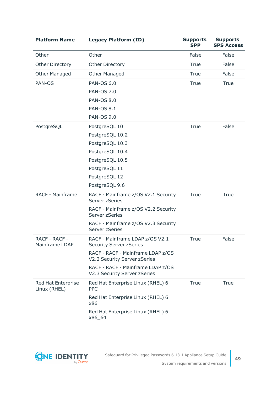| <b>Platform Name</b>               | <b>Legacy Platform (ID)</b>                                       | <b>Supports</b><br><b>SPP</b> | <b>Supports</b><br><b>SPS Access</b> |
|------------------------------------|-------------------------------------------------------------------|-------------------------------|--------------------------------------|
| Other                              | Other                                                             | False                         | False                                |
| <b>Other Directory</b>             | <b>Other Directory</b>                                            | True                          | False                                |
| <b>Other Managed</b>               | <b>Other Managed</b>                                              | True                          | False                                |
| PAN-OS                             | <b>PAN-OS 6.0</b>                                                 | True                          | True                                 |
|                                    | <b>PAN-OS 7.0</b>                                                 |                               |                                      |
|                                    | <b>PAN-OS 8.0</b>                                                 |                               |                                      |
|                                    | <b>PAN-OS 8.1</b>                                                 |                               |                                      |
|                                    | <b>PAN-OS 9.0</b>                                                 |                               |                                      |
| PostgreSQL                         | PostgreSQL 10                                                     | True                          | False                                |
|                                    | PostgreSQL 10.2                                                   |                               |                                      |
|                                    | PostgreSQL 10.3                                                   |                               |                                      |
|                                    | PostgreSQL 10.4                                                   |                               |                                      |
|                                    | PostgreSQL 10.5                                                   |                               |                                      |
|                                    | PostgreSQL 11                                                     |                               |                                      |
|                                    | PostgreSQL 12                                                     |                               |                                      |
|                                    | PostgreSQL 9.6                                                    |                               |                                      |
| RACF - Mainframe                   | RACF - Mainframe z/OS V2.1 Security<br>Server zSeries             | True                          | True                                 |
|                                    | RACF - Mainframe z/OS V2.2 Security<br>Server zSeries             |                               |                                      |
|                                    | RACF - Mainframe z/OS V2.3 Security<br>Server zSeries             |                               |                                      |
| RACF - RACF -<br>Mainframe LDAP    | RACF - Mainframe LDAP z/OS V2.1<br><b>Security Server zSeries</b> | True                          | False                                |
|                                    | RACF - RACF - Mainframe LDAP z/OS<br>V2.2 Security Server zSeries |                               |                                      |
|                                    | RACF - RACF - Mainframe LDAP z/OS<br>V2.3 Security Server zSeries |                               |                                      |
| Red Hat Enterprise<br>Linux (RHEL) | Red Hat Enterprise Linux (RHEL) 6<br><b>PPC</b>                   | True                          | True                                 |
|                                    | Red Hat Enterprise Linux (RHEL) 6<br>x86                          |                               |                                      |
|                                    | Red Hat Enterprise Linux (RHEL) 6<br>x86_64                       |                               |                                      |



System requirements and versions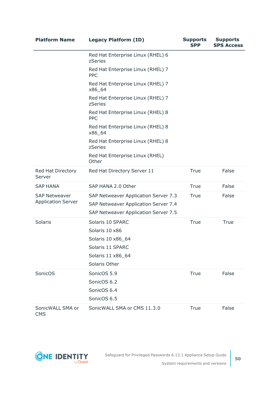| <b>Platform Name</b>               | <b>Legacy Platform (ID)</b>                     | <b>Supports</b><br><b>SPP</b> | <b>Supports</b><br><b>SPS Access</b> |
|------------------------------------|-------------------------------------------------|-------------------------------|--------------------------------------|
|                                    | Red Hat Enterprise Linux (RHEL) 6<br>zSeries    |                               |                                      |
|                                    | Red Hat Enterprise Linux (RHEL) 7<br><b>PPC</b> |                               |                                      |
|                                    | Red Hat Enterprise Linux (RHEL) 7<br>x86_64     |                               |                                      |
|                                    | Red Hat Enterprise Linux (RHEL) 7<br>zSeries    |                               |                                      |
|                                    | Red Hat Enterprise Linux (RHEL) 8<br><b>PPC</b> |                               |                                      |
|                                    | Red Hat Enterprise Linux (RHEL) 8<br>x86_64     |                               |                                      |
|                                    | Red Hat Enterprise Linux (RHEL) 8<br>zSeries    |                               |                                      |
|                                    | Red Hat Enterprise Linux (RHEL)<br>Other        |                               |                                      |
| <b>Red Hat Directory</b><br>Server | Red Hat Directory Server 11                     | True                          | False                                |
| <b>SAP HANA</b>                    | SAP HANA 2.0 Other                              | True                          | False                                |
| <b>SAP Netweaver</b>               | SAP Netweaver Application Server 7.3            | True                          | False                                |
| <b>Application Server</b>          | SAP Netweaver Application Server 7.4            |                               |                                      |
|                                    | SAP Netweaver Application Server 7.5            |                               |                                      |
| <b>Solaris</b>                     | Solaris 10 SPARC                                | True                          | <b>True</b>                          |
|                                    | Solaris 10 x86                                  |                               |                                      |
|                                    | Solaris 10 x86_64                               |                               |                                      |
|                                    | Solaris 11 SPARC                                |                               |                                      |
|                                    | Solaris 11 x86_64                               |                               |                                      |
|                                    | Solaris Other                                   |                               |                                      |
| SonicOS                            | SonicOS 5.9                                     | True                          | False                                |
|                                    | SonicOS 6.2                                     |                               |                                      |
|                                    | SonicOS 6.4                                     |                               |                                      |
|                                    | SonicOS 6.5                                     |                               |                                      |
| SonicWALL SMA or<br><b>CMS</b>     | SonicWALL SMA or CMS 11.3.0                     | True                          | False                                |

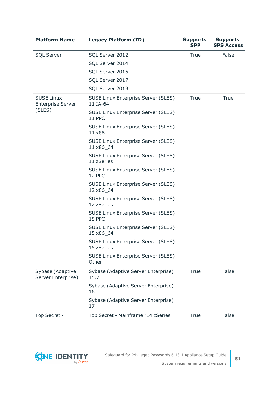| <b>Platform Name</b>                          | <b>Legacy Platform (ID)</b>                              | <b>Supports</b><br><b>SPP</b> | <b>Supports</b><br><b>SPS Access</b> |
|-----------------------------------------------|----------------------------------------------------------|-------------------------------|--------------------------------------|
| <b>SQL Server</b>                             | SQL Server 2012                                          | True                          | False                                |
|                                               | SQL Server 2014                                          |                               |                                      |
|                                               | SQL Server 2016                                          |                               |                                      |
|                                               | SQL Server 2017                                          |                               |                                      |
|                                               | SQL Server 2019                                          |                               |                                      |
| <b>SUSE Linux</b><br><b>Enterprise Server</b> | <b>SUSE Linux Enterprise Server (SLES)</b><br>11 IA-64   | True                          | True                                 |
| (SLES)                                        | <b>SUSE Linux Enterprise Server (SLES)</b><br>11 PPC     |                               |                                      |
|                                               | <b>SUSE Linux Enterprise Server (SLES)</b><br>11 x86     |                               |                                      |
|                                               | <b>SUSE Linux Enterprise Server (SLES)</b><br>11 x86_64  |                               |                                      |
|                                               | <b>SUSE Linux Enterprise Server (SLES)</b><br>11 zSeries |                               |                                      |
|                                               | <b>SUSE Linux Enterprise Server (SLES)</b><br>12 PPC     |                               |                                      |
|                                               | <b>SUSE Linux Enterprise Server (SLES)</b><br>12 x86_64  |                               |                                      |
|                                               | <b>SUSE Linux Enterprise Server (SLES)</b><br>12 zSeries |                               |                                      |
|                                               | <b>SUSE Linux Enterprise Server (SLES)</b><br>15 PPC     |                               |                                      |
|                                               | <b>SUSE Linux Enterprise Server (SLES)</b><br>15 x 86 64 |                               |                                      |
|                                               | <b>SUSE Linux Enterprise Server (SLES)</b><br>15 zSeries |                               |                                      |
|                                               | <b>SUSE Linux Enterprise Server (SLES)</b><br>Other      |                               |                                      |
| Sybase (Adaptive<br>Server Enterprise)        | Sybase (Adaptive Server Enterprise)<br>15.7              | True                          | False                                |
|                                               | Sybase (Adaptive Server Enterprise)<br>16                |                               |                                      |
|                                               | Sybase (Adaptive Server Enterprise)<br>17                |                               |                                      |
| Top Secret -                                  | Top Secret - Mainframe r14 zSeries                       | True                          | False                                |

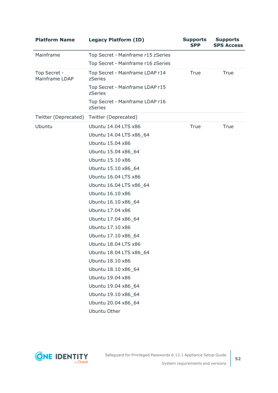| <b>Platform Name</b>           | <b>Legacy Platform (ID)</b>                | <b>Supports</b><br><b>SPP</b> | <b>Supports</b><br><b>SPS Access</b> |
|--------------------------------|--------------------------------------------|-------------------------------|--------------------------------------|
| Mainframe                      | Top Secret - Mainframe r15 zSeries         |                               |                                      |
|                                | Top Secret - Mainframe r16 zSeries         |                               |                                      |
| Top Secret -<br>Mainframe LDAP | Top Secret - Mainframe LDAP r14<br>zSeries | True                          | <b>True</b>                          |
|                                | Top Secret - Mainframe LDAP r15<br>zSeries |                               |                                      |
|                                | Top Secret - Mainframe LDAP r16<br>zSeries |                               |                                      |
| Twitter (Deprecated)           | Twitter (Deprecated)                       |                               |                                      |
| Ubuntu                         | Ubuntu 14.04 LTS x86                       | True                          | True                                 |
|                                | Ubuntu 14.04 LTS x86_64                    |                               |                                      |
|                                | Ubuntu 15.04 x86                           |                               |                                      |
|                                | Ubuntu 15.04 x86_64                        |                               |                                      |
|                                | Ubuntu 15.10 x86                           |                               |                                      |
|                                | Ubuntu 15.10 x86_64                        |                               |                                      |
|                                | Ubuntu 16.04 LTS x86                       |                               |                                      |
|                                | Ubuntu 16.04 LTS x86_64                    |                               |                                      |
|                                | Ubuntu 16.10 x86                           |                               |                                      |
|                                | Ubuntu 16.10 x86_64                        |                               |                                      |
|                                | Ubuntu 17.04 x86                           |                               |                                      |
|                                | Ubuntu 17.04 x86_64                        |                               |                                      |
|                                | Ubuntu 17.10 x86                           |                               |                                      |
|                                | Ubuntu 17.10 x86_64                        |                               |                                      |
|                                | Ubuntu 18.04 LTS x86                       |                               |                                      |
|                                | Ubuntu 18.04 LTS x86_64                    |                               |                                      |
|                                | Ubuntu 18.10 x86                           |                               |                                      |
|                                | Ubuntu 18.10 x86_64                        |                               |                                      |
|                                | Ubuntu 19.04 x86                           |                               |                                      |
|                                | Ubuntu 19.04 x86_64                        |                               |                                      |
|                                | Ubuntu 19.10 x86_64                        |                               |                                      |
|                                | Ubuntu 20.04 x86_64                        |                               |                                      |
|                                | Ubuntu Other                               |                               |                                      |

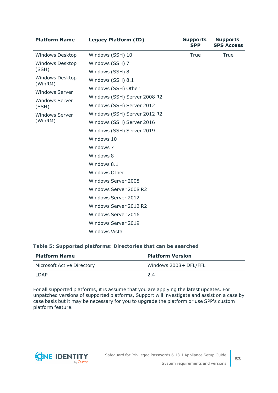| <b>Platform Name</b>              | <b>Legacy Platform (ID)</b>  | <b>Supports</b><br><b>SPP</b> | <b>Supports</b><br><b>SPS Access</b> |
|-----------------------------------|------------------------------|-------------------------------|--------------------------------------|
| Windows Desktop                   | Windows (SSH) 10             | True                          | True                                 |
| <b>Windows Desktop</b><br>(SSH)   | Windows (SSH) 7              |                               |                                      |
|                                   | Windows (SSH) 8              |                               |                                      |
| <b>Windows Desktop</b><br>(WinRM) | Windows (SSH) 8.1            |                               |                                      |
| <b>Windows Server</b>             | Windows (SSH) Other          |                               |                                      |
| <b>Windows Server</b>             | Windows (SSH) Server 2008 R2 |                               |                                      |
| (SSH)                             | Windows (SSH) Server 2012    |                               |                                      |
| <b>Windows Server</b>             | Windows (SSH) Server 2012 R2 |                               |                                      |
| (WinRM)                           | Windows (SSH) Server 2016    |                               |                                      |
|                                   | Windows (SSH) Server 2019    |                               |                                      |
|                                   | Windows 10                   |                               |                                      |
|                                   | Windows 7                    |                               |                                      |
|                                   | Windows 8                    |                               |                                      |
|                                   | Windows 8.1                  |                               |                                      |
|                                   | Windows Other                |                               |                                      |
|                                   | Windows Server 2008          |                               |                                      |
|                                   | Windows Server 2008 R2       |                               |                                      |
|                                   | Windows Server 2012          |                               |                                      |
|                                   | Windows Server 2012 R2       |                               |                                      |
|                                   | Windows Server 2016          |                               |                                      |
|                                   | Windows Server 2019          |                               |                                      |
|                                   | <b>Windows Vista</b>         |                               |                                      |

#### **Table 5: Supported platforms: Directories that can be searched**

| <b>Platform Name</b>              | <b>Platform Version</b> |
|-----------------------------------|-------------------------|
| <b>Microsoft Active Directory</b> | Windows 2008+ DFL/FFL   |
| I DAP                             | 24                      |

For all supported platforms, it is assume that you are applying the latest updates. For unpatched versions of supported platforms, Support will investigate and assist on a case by case basis but it may be necessary for you to upgrade the platform or use SPP's custom platform feature.

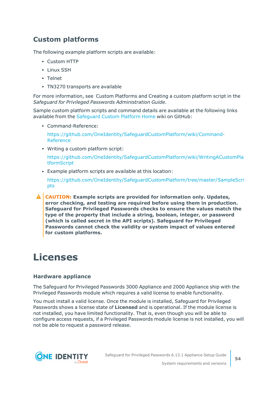## **Custom platforms**

The following example platform scripts are available:

- Custom HTTP
- Linux SSH
- Telnet
- TN3270 transports are available

For more information, see Custom Platforms and Creating a custom platform script in the *Safeguard for Privileged Passwords Administration Guide*.

Sample custom platform scripts and command details are available at the following links available from the [Safeguard](https://github.com/OneIdentity/SafeguardCustomPlatform/wiki) Custom Platform Home wiki on GitHub:

• Command-Reference:

[https://github.com/OneIdentity/SafeguardCustomPlatform/wiki/Command-](https://github.com/OneIdentity/SafeguardCustomPlatform/wiki/Command-Reference)[Reference](https://github.com/OneIdentity/SafeguardCustomPlatform/wiki/Command-Reference)

• Writing a custom platform script:

[https://github.com/OneIdentity/SafeguardCustomPlatform/wiki/WritingACustomPla](https://github.com/OneIdentity/SafeguardCustomPlatform/wiki/WritingACustomPlatformScript) [tformScript](https://github.com/OneIdentity/SafeguardCustomPlatform/wiki/WritingACustomPlatformScript)

• Example platform scripts are available at this location:

[https://github.com/OneIdentity/SafeguardCustomPlatform/tree/master/SampleScri](https://github.com/OneIdentity/SafeguardCustomPlatform/tree/master/SampleScripts) [pts](https://github.com/OneIdentity/SafeguardCustomPlatform/tree/master/SampleScripts)

**CAUTION: Example scripts are provided for information only. Updates, error checking, and testing are required before using them in production. Safeguard for Privileged Passwords checks to ensure the values match the type of the property that include a string, boolean, integer, or password (which is called secret in the API scripts). Safeguard for Privileged Passwords cannot check the validity or system impact of values entered for custom platforms.**

## <span id="page-53-0"></span>**Licenses**

#### **Hardware appliance**

The Safeguard for Privileged Passwords 3000 Appliance and 2000 Appliance ship with the Privileged Passwords module which requires a valid license to enable functionality.

You must install a valid license. Once the module is installed, Safeguard for Privileged Passwords shows a license state of **Licensed** and is operational. If the module license is not installed, you have limited functionality. That is, even though you will be able to configure access requests, if a Privileged Passwords module license is not installed, you will not be able to request a password release.

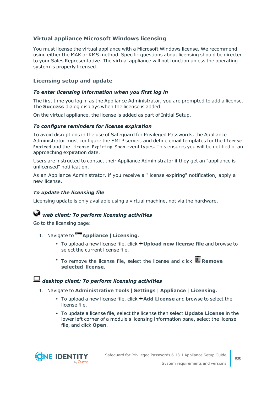#### **Virtual appliance Microsoft Windows licensing**

You must license the virtual appliance with a Microsoft Windows license. We recommend using either the MAK or KMS method. Specific questions about licensing should be directed to your Sales Representative. The virtual appliance will not function unless the operating system is properly licensed.

#### **Licensing setup and update**

#### *To enter licensing information when you first log in*

The first time you log in as the Appliance Administrator, you are prompted to add a license. The **Success** dialog displays when the license is added.

On the virtual appliance, the license is added as part of Initial Setup.

#### *To configure reminders for license expiration*

To avoid disruptions in the use of Safeguard for Privileged Passwords, the Appliance Administrator must configure the SMTP server, and define email templates for the License Expired and the License Expiring Soon event types. This ensures you will be notified of an approaching expiration date.

Users are instructed to contact their Appliance Administrator if they get an "appliance is unlicensed" notification.

As an Appliance Administrator, if you receive a "license expiring" notification, apply a new license.

#### *To update the licensing file*

Licensing update is only available using a virtual machine, not via the hardware.

#### *web client: To perform licensing activities*

Go to the licensing page:

- 1. Navigate to **Appliance** | **Licensing**.
	- <sup>l</sup> To upload a new license file, click **Upload new license file** and browse to select the current license file.
	- <sup>•</sup> To remove the license file, select the license and click  $\overline{\mathbb{H}}$  Remove **selected license**.

#### *desktop client: To perform licensing activities*

- 1. Navigate to **Administrative Tools** | **Settings** | **Appliance** | **Licensing**.
	- <sup>l</sup> To upload a new license file, click **Add License** and browse to select the license file.
	- <sup>l</sup> To update a license file, select the license then select **Update License** in the lower left corner of a module's licensing information pane, select the license file, and click **Open**.

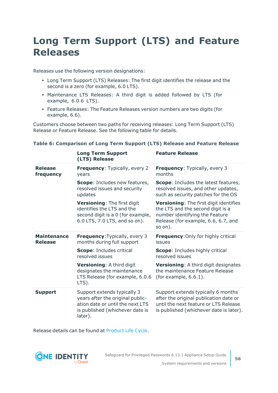## <span id="page-55-0"></span>**Long Term Support (LTS) and Feature Releases**

Releases use the following version designations:

- Long Term Support (LTS) Releases: The first digit identifies the release and the second is a zero (for example, 6.0 LTS).
- Maintenance LTS Releases: A third digit is added followed by LTS (for example, 6.0.6 LTS).
- Feature Releases: The Feature Releases version numbers are two digits (for example, 6.6).

Customers choose between two paths for receiving releases: Long Term Support (LTS) Release or Feature Release. See the following table for details.

|                                      | <b>Long Term Support</b><br>(LTS) Release                                                                                                         | <b>Feature Release</b>                                                                                                                                            |
|--------------------------------------|---------------------------------------------------------------------------------------------------------------------------------------------------|-------------------------------------------------------------------------------------------------------------------------------------------------------------------|
| <b>Release</b><br>frequency          | Frequency: Typically, every 2<br>years                                                                                                            | <b>Frequency: Typically, every 3</b><br>months                                                                                                                    |
|                                      | Scope: Includes new features,<br>resolved issues and security<br>updates                                                                          | <b>Scope:</b> Includes the latest features,<br>resolved issues, and other updates,<br>such as security patches for the OS                                         |
|                                      | Versioning: The first digit<br>identifies the LTS and the<br>second digit is a 0 (for example,<br>6.0 LTS, 7.0 LTS, and so on).                   | Versioning: The first digit identifies<br>the LTS and the second digit is a<br>number identifying the Feature<br>Release (for example, 6.6, 6.7, and<br>$so$ on). |
| <b>Maintenance</b><br><b>Release</b> | Frequency: Typically, every 3<br>months during full support                                                                                       | Frequency: Only for highly critical<br>issues                                                                                                                     |
|                                      | <b>Scope: Includes critical</b><br>resolved issues                                                                                                | <b>Scope: Includes highly critical</b><br>resolved issues                                                                                                         |
|                                      | Versioning: A third digit<br>designates the maintenance<br>LTS Release (for example, 6.0.6<br>LTS).                                               | <b>Versioning:</b> A third digit designates<br>the maintenance Feature Release<br>(for example, $6.6.1$ ).                                                        |
| <b>Support</b>                       | Support extends typically 3<br>years after the original public-<br>ation date or until the next LTS<br>is published (whichever date is<br>later). | Support extends typically 6 months<br>after the original publication date or<br>until the next feature or LTS Release<br>is published (whichever date is later).  |

#### **Table 6: Comparison of Long Term Support (LTS) Release and Feature Release**

Release details can be found at [Product](https://support.oneidentity.com/one-identity-safeguard-for-privileged-passwords/2.11#ProductLifeCycleTable) Life Cycle.

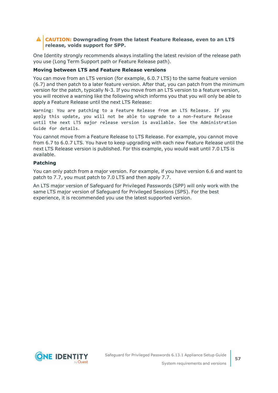#### **CAUTION: Downgrading from the latest Feature Release, even to an LTS release, voids support for SPP.**

One Identity strongly recommends always installing the latest revision of the release path you use (Long Term Support path or Feature Release path).

#### **Moving between LTS and Feature Release versions**

You can move from an LTS version (for example, 6.0.7 LTS) to the same feature version (6.7) and then patch to a later feature version. After that, you can patch from the minimum version for the patch, typically N-3. If you move from an LTS version to a feature version, you will receive a warning like the following which informs you that you will only be able to apply a Feature Release until the next LTS Release:

Warning: You are patching to a Feature Release from an LTS Release. If you apply this update, you will not be able to upgrade to a non-Feature Release until the next LTS major release version is available. See the Administration Guide for details.

You cannot move from a Feature Release to LTS Release. For example, you cannot move from 6.7 to 6.0.7 LTS. You have to keep upgrading with each new Feature Release until the next LTS Release version is published. For this example, you would wait until 7.0 LTS is available.

#### **Patching**

You can only patch from a major version. For example, if you have version 6.6 and want to patch to 7.7, you must patch to 7.0 LTS and then apply 7.7.

An LTS major version of Safeguard for Privileged Passwords (SPP) will only work with the same LTS major version of Safeguard for Privileged Sessions (SPS). For the best experience, it is recommended you use the latest supported version.